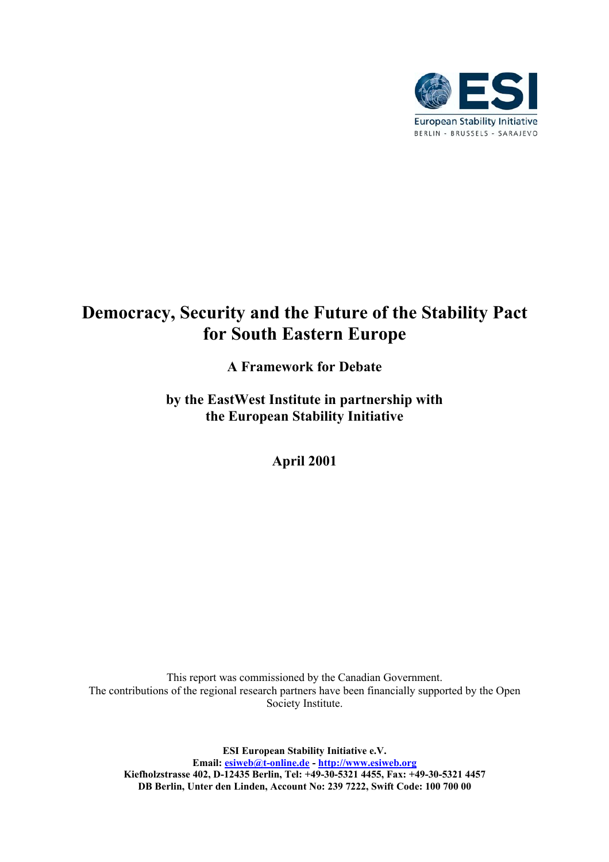

# **Democracy, Security and the Future of the Stability Pact for South Eastern Europe**

# **A Framework for Debate**

**by the EastWest Institute in partnership with the European Stability Initiative**

**April 2001**

This report was commissioned by the Canadian Government. The contributions of the regional research partners have been financially supported by the Open Society Institute.

**ESI European Stability Initiative e.V. Email: esiweb@t-online.de - http://www.esiweb.org Kiefholzstrasse 402, D-12435 Berlin, Tel: +49-30-5321 4455, Fax: +49-30-5321 4457 DB Berlin, Unter den Linden, Account No: 239 7222, Swift Code: 100 700 00**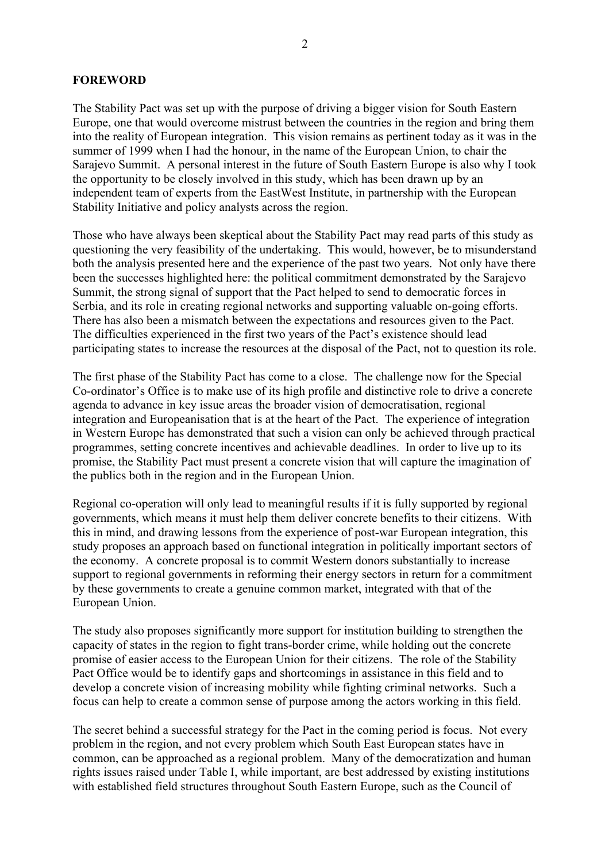#### **FOREWORD**

The Stability Pact was set up with the purpose of driving a bigger vision for South Eastern Europe, one that would overcome mistrust between the countries in the region and bring them into the reality of European integration. This vision remains as pertinent today as it was in the summer of 1999 when I had the honour, in the name of the European Union, to chair the Sarajevo Summit. A personal interest in the future of South Eastern Europe is also why I took the opportunity to be closely involved in this study, which has been drawn up by an independent team of experts from the EastWest Institute, in partnership with the European Stability Initiative and policy analysts across the region.

Those who have always been skeptical about the Stability Pact may read parts of this study as questioning the very feasibility of the undertaking. This would, however, be to misunderstand both the analysis presented here and the experience of the past two years. Not only have there been the successes highlighted here: the political commitment demonstrated by the Sarajevo Summit, the strong signal of support that the Pact helped to send to democratic forces in Serbia, and its role in creating regional networks and supporting valuable on-going efforts. There has also been a mismatch between the expectations and resources given to the Pact. The difficulties experienced in the first two years of the Pact's existence should lead participating states to increase the resources at the disposal of the Pact, not to question its role.

The first phase of the Stability Pact has come to a close. The challenge now for the Special Co-ordinator's Office is to make use of its high profile and distinctive role to drive a concrete agenda to advance in key issue areas the broader vision of democratisation, regional integration and Europeanisation that is at the heart of the Pact. The experience of integration in Western Europe has demonstrated that such a vision can only be achieved through practical programmes, setting concrete incentives and achievable deadlines. In order to live up to its promise, the Stability Pact must present a concrete vision that will capture the imagination of the publics both in the region and in the European Union.

Regional co-operation will only lead to meaningful results if it is fully supported by regional governments, which means it must help them deliver concrete benefits to their citizens. With this in mind, and drawing lessons from the experience of post-war European integration, this study proposes an approach based on functional integration in politically important sectors of the economy. A concrete proposal is to commit Western donors substantially to increase support to regional governments in reforming their energy sectors in return for a commitment by these governments to create a genuine common market, integrated with that of the European Union.

The study also proposes significantly more support for institution building to strengthen the capacity of states in the region to fight trans-border crime, while holding out the concrete promise of easier access to the European Union for their citizens. The role of the Stability Pact Office would be to identify gaps and shortcomings in assistance in this field and to develop a concrete vision of increasing mobility while fighting criminal networks. Such a focus can help to create a common sense of purpose among the actors working in this field.

The secret behind a successful strategy for the Pact in the coming period is focus. Not every problem in the region, and not every problem which South East European states have in common, can be approached as a regional problem. Many of the democratization and human rights issues raised under Table I, while important, are best addressed by existing institutions with established field structures throughout South Eastern Europe, such as the Council of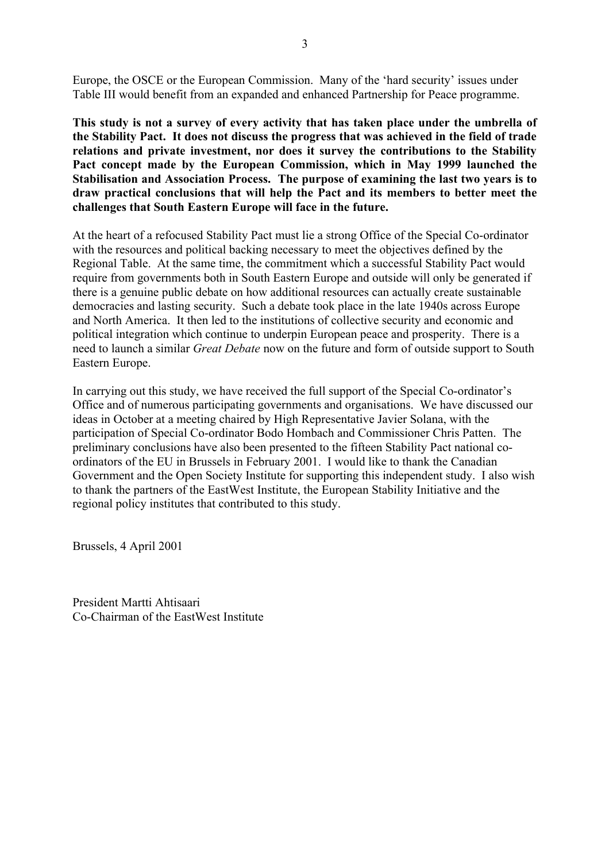Europe, the OSCE or the European Commission. Many of the 'hard security' issues under Table III would benefit from an expanded and enhanced Partnership for Peace programme.

**This study is not a survey of every activity that has taken place under the umbrella of the Stability Pact. It does not discuss the progress that was achieved in the field of trade relations and private investment, nor does it survey the contributions to the Stability Pact concept made by the European Commission, which in May 1999 launched the Stabilisation and Association Process. The purpose of examining the last two years is to draw practical conclusions that will help the Pact and its members to better meet the challenges that South Eastern Europe will face in the future.**

At the heart of a refocused Stability Pact must lie a strong Office of the Special Co-ordinator with the resources and political backing necessary to meet the objectives defined by the Regional Table. At the same time, the commitment which a successful Stability Pact would require from governments both in South Eastern Europe and outside will only be generated if there is a genuine public debate on how additional resources can actually create sustainable democracies and lasting security. Such a debate took place in the late 1940s across Europe and North America. It then led to the institutions of collective security and economic and political integration which continue to underpin European peace and prosperity. There is a need to launch a similar *Great Debate* now on the future and form of outside support to South Eastern Europe.

In carrying out this study, we have received the full support of the Special Co-ordinator's Office and of numerous participating governments and organisations. We have discussed our ideas in October at a meeting chaired by High Representative Javier Solana, with the participation of Special Co-ordinator Bodo Hombach and Commissioner Chris Patten. The preliminary conclusions have also been presented to the fifteen Stability Pact national coordinators of the EU in Brussels in February 2001. I would like to thank the Canadian Government and the Open Society Institute for supporting this independent study. I also wish to thank the partners of the EastWest Institute, the European Stability Initiative and the regional policy institutes that contributed to this study.

Brussels, 4 April 2001

President Martti Ahtisaari Co-Chairman of the EastWest Institute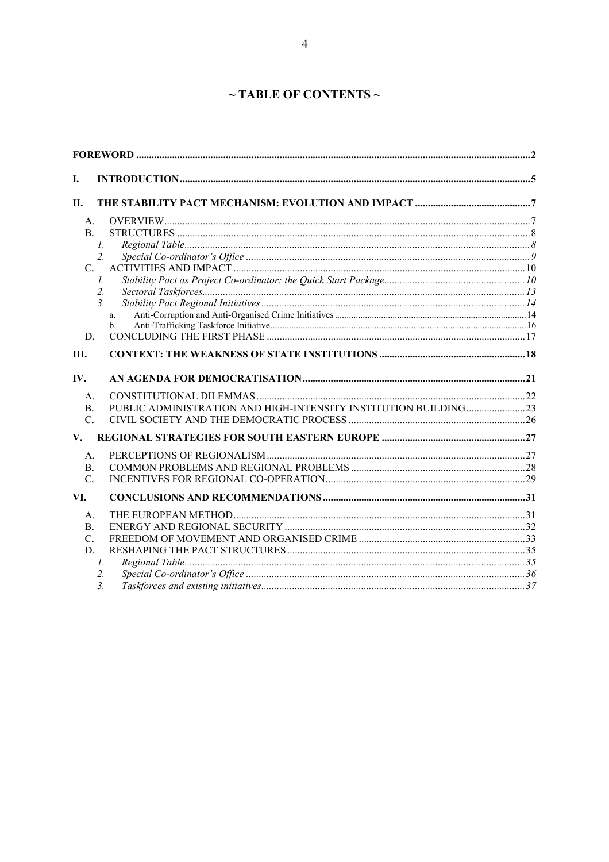# ~ TABLE OF CONTENTS ~

| I.              |                      |  |
|-----------------|----------------------|--|
| П.              |                      |  |
| A.              |                      |  |
| B <sub>1</sub>  |                      |  |
|                 | $\mathcal{I}$ .      |  |
|                 | $\overline{2}$ .     |  |
| C.              |                      |  |
|                 | $\mathcal{I}$ .      |  |
|                 | $\overline{2}$ .     |  |
|                 | 3 <sub>1</sub>       |  |
|                 | a.<br>$\mathbf{b}$ . |  |
| D.              |                      |  |
|                 |                      |  |
| III.            |                      |  |
| IV.             |                      |  |
| $A_{\cdot}$     |                      |  |
| $\mathbf{B}$ .  |                      |  |
| $C_{\cdot}$     |                      |  |
| V.              |                      |  |
| $A_{\cdot}$     |                      |  |
| B.              |                      |  |
| C.              |                      |  |
| VI.             |                      |  |
| А.              |                      |  |
| B.              |                      |  |
| $\mathcal{C}$ . |                      |  |
| D.              |                      |  |
|                 | I.                   |  |
|                 | 2.                   |  |
|                 | 3 <sub>1</sub>       |  |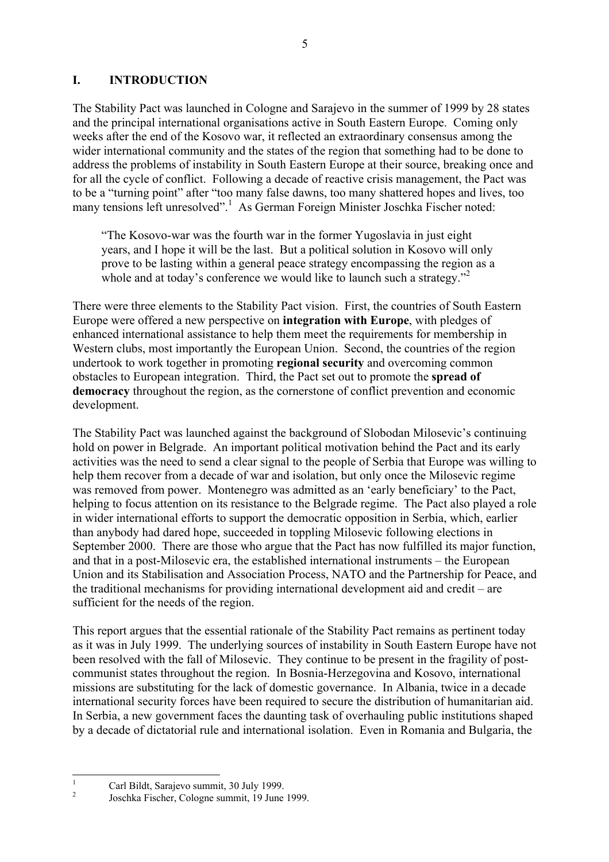### **I. INTRODUCTION**

The Stability Pact was launched in Cologne and Sarajevo in the summer of 1999 by 28 states and the principal international organisations active in South Eastern Europe. Coming only weeks after the end of the Kosovo war, it reflected an extraordinary consensus among the wider international community and the states of the region that something had to be done to address the problems of instability in South Eastern Europe at their source, breaking once and for all the cycle of conflict. Following a decade of reactive crisis management, the Pact was to be a "turning point" after "too many false dawns, too many shattered hopes and lives, too many tensions left unresolved".<sup>1</sup> As German Foreign Minister Joschka Fischer noted:

ìThe Kosovo-war was the fourth war in the former Yugoslavia in just eight years, and I hope it will be the last. But a political solution in Kosovo will only prove to be lasting within a general peace strategy encompassing the region as a whole and at today's conference we would like to launch such a strategy.<sup> $2$ </sup>

There were three elements to the Stability Pact vision. First, the countries of South Eastern Europe were offered a new perspective on **integration with Europe**, with pledges of enhanced international assistance to help them meet the requirements for membership in Western clubs, most importantly the European Union. Second, the countries of the region undertook to work together in promoting **regional security** and overcoming common obstacles to European integration. Third, the Pact set out to promote the **spread of democracy** throughout the region, as the cornerstone of conflict prevention and economic development.

The Stability Pact was launched against the background of Slobodan Milosevic's continuing hold on power in Belgrade. An important political motivation behind the Pact and its early activities was the need to send a clear signal to the people of Serbia that Europe was willing to help them recover from a decade of war and isolation, but only once the Milosevic regime was removed from power. Montenegro was admitted as an 'early beneficiary' to the Pact, helping to focus attention on its resistance to the Belgrade regime. The Pact also played a role in wider international efforts to support the democratic opposition in Serbia, which, earlier than anybody had dared hope, succeeded in toppling Milosevic following elections in September 2000. There are those who argue that the Pact has now fulfilled its major function, and that in a post-Milosevic era, the established international instruments – the European Union and its Stabilisation and Association Process, NATO and the Partnership for Peace, and the traditional mechanisms for providing international development aid and credit  $-\alpha$  are sufficient for the needs of the region.

This report argues that the essential rationale of the Stability Pact remains as pertinent today as it was in July 1999. The underlying sources of instability in South Eastern Europe have not been resolved with the fall of Milosevic. They continue to be present in the fragility of postcommunist states throughout the region. In Bosnia-Herzegovina and Kosovo, international missions are substituting for the lack of domestic governance. In Albania, twice in a decade international security forces have been required to secure the distribution of humanitarian aid. In Serbia, a new government faces the daunting task of overhauling public institutions shaped by a decade of dictatorial rule and international isolation. Even in Romania and Bulgaria, the

<sup>&</sup>lt;sup>1</sup> Carl Bildt, Sarajevo summit, 30 July 1999.<br><sup>2</sup> Joschka Fischer, Cologne summit, 19 June 1999.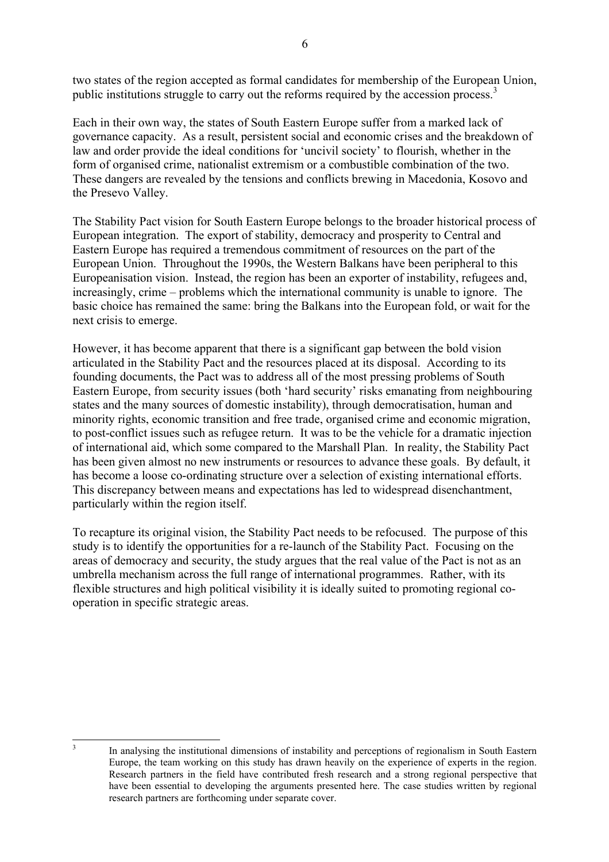two states of the region accepted as formal candidates for membership of the European Union, public institutions struggle to carry out the reforms required by the accession process.<sup>3</sup>

Each in their own way, the states of South Eastern Europe suffer from a marked lack of governance capacity. As a result, persistent social and economic crises and the breakdown of law and order provide the ideal conditions for 'uncivil society' to flourish, whether in the form of organised crime, nationalist extremism or a combustible combination of the two. These dangers are revealed by the tensions and conflicts brewing in Macedonia, Kosovo and the Presevo Valley.

The Stability Pact vision for South Eastern Europe belongs to the broader historical process of European integration. The export of stability, democracy and prosperity to Central and Eastern Europe has required a tremendous commitment of resources on the part of the European Union. Throughout the 1990s, the Western Balkans have been peripheral to this Europeanisation vision. Instead, the region has been an exporter of instability, refugees and, increasingly, crime – problems which the international community is unable to ignore. The basic choice has remained the same: bring the Balkans into the European fold, or wait for the next crisis to emerge.

However, it has become apparent that there is a significant gap between the bold vision articulated in the Stability Pact and the resources placed at its disposal. According to its founding documents, the Pact was to address all of the most pressing problems of South Eastern Europe, from security issues (both 'hard security' risks emanating from neighbouring states and the many sources of domestic instability), through democratisation, human and minority rights, economic transition and free trade, organised crime and economic migration, to post-conflict issues such as refugee return. It was to be the vehicle for a dramatic injection of international aid, which some compared to the Marshall Plan. In reality, the Stability Pact has been given almost no new instruments or resources to advance these goals. By default, it has become a loose co-ordinating structure over a selection of existing international efforts. This discrepancy between means and expectations has led to widespread disenchantment, particularly within the region itself.

To recapture its original vision, the Stability Pact needs to be refocused. The purpose of this study is to identify the opportunities for a re-launch of the Stability Pact. Focusing on the areas of democracy and security, the study argues that the real value of the Pact is not as an umbrella mechanism across the full range of international programmes. Rather, with its flexible structures and high political visibility it is ideally suited to promoting regional cooperation in specific strategic areas.

<sup>&</sup>lt;sup>3</sup> In analysing the institutional dimensions of instability and perceptions of regionalism in South Eastern Europe, the team working on this study has drawn heavily on the experience of experts in the region. Research partners in the field have contributed fresh research and a strong regional perspective that have been essential to developing the arguments presented here. The case studies written by regional research partners are forthcoming under separate cover.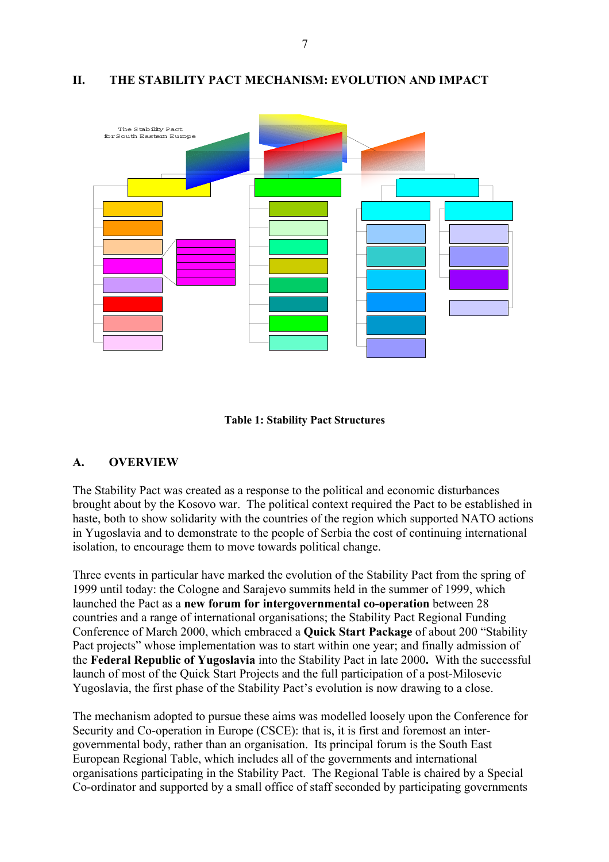#### **II. THE STABILITY PACT MECHANISM: EVOLUTION AND IMPACT**



#### **Table 1: Stability Pact Structures**

#### **A. OVERVIEW**

The Stability Pact was created as a response to the political and economic disturbances brought about by the Kosovo war. The political context required the Pact to be established in haste, both to show solidarity with the countries of the region which supported NATO actions in Yugoslavia and to demonstrate to the people of Serbia the cost of continuing international isolation, to encourage them to move towards political change.

Three events in particular have marked the evolution of the Stability Pact from the spring of 1999 until today: the Cologne and Sarajevo summits held in the summer of 1999, which launched the Pact as a **new forum for intergovernmental co-operation** between 28 countries and a range of international organisations; the Stability Pact Regional Funding Conference of March 2000, which embraced a **Quick Start Package** of about 200 "Stability Pact projects" whose implementation was to start within one year; and finally admission of the **Federal Republic of Yugoslavia** into the Stability Pact in late 2000**.** With the successful launch of most of the Quick Start Projects and the full participation of a post-Milosevic Yugoslavia, the first phase of the Stability Pact's evolution is now drawing to a close.

The mechanism adopted to pursue these aims was modelled loosely upon the Conference for Security and Co-operation in Europe (CSCE): that is, it is first and foremost an intergovernmental body, rather than an organisation. Its principal forum is the South East European Regional Table, which includes all of the governments and international organisations participating in the Stability Pact. The Regional Table is chaired by a Special Co-ordinator and supported by a small office of staff seconded by participating governments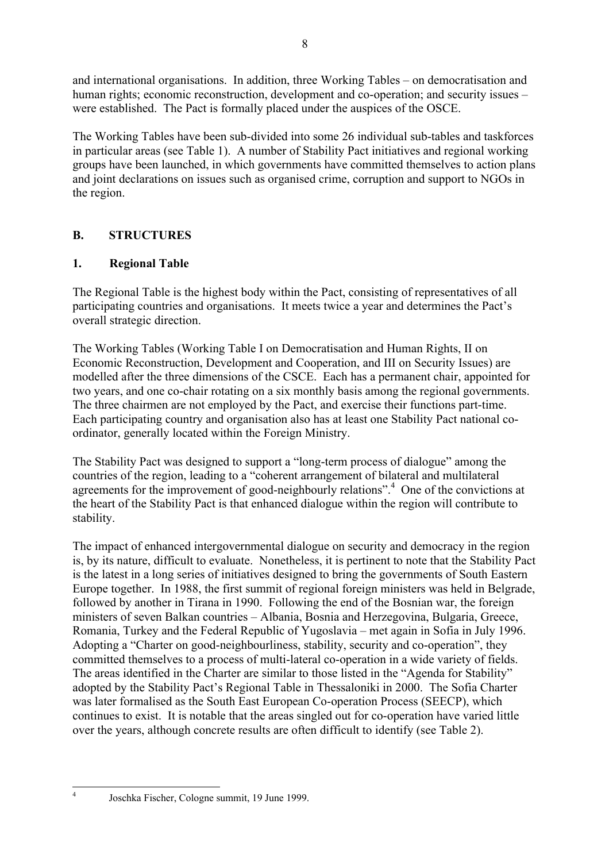and international organisations. In addition, three Working Tables – on democratisation and human rights; economic reconstruction, development and co-operation; and security issues – were established. The Pact is formally placed under the auspices of the OSCE.

The Working Tables have been sub-divided into some 26 individual sub-tables and taskforces in particular areas (see Table 1). A number of Stability Pact initiatives and regional working groups have been launched, in which governments have committed themselves to action plans and joint declarations on issues such as organised crime, corruption and support to NGOs in the region.

### **B. STRUCTURES**

### **1. Regional Table**

The Regional Table is the highest body within the Pact, consisting of representatives of all participating countries and organisations. It meets twice a year and determines the Pact's overall strategic direction.

The Working Tables (Working Table I on Democratisation and Human Rights, II on Economic Reconstruction, Development and Cooperation, and III on Security Issues) are modelled after the three dimensions of the CSCE. Each has a permanent chair, appointed for two years, and one co-chair rotating on a six monthly basis among the regional governments. The three chairmen are not employed by the Pact, and exercise their functions part-time. Each participating country and organisation also has at least one Stability Pact national coordinator, generally located within the Foreign Ministry.

The Stability Pact was designed to support a "long-term process of dialogue" among the countries of the region, leading to a "coherent arrangement of bilateral and multilateral agreements for the improvement of good-neighbourly relations".<sup>4</sup> One of the convictions at the heart of the Stability Pact is that enhanced dialogue within the region will contribute to stability.

The impact of enhanced intergovernmental dialogue on security and democracy in the region is, by its nature, difficult to evaluate. Nonetheless, it is pertinent to note that the Stability Pact is the latest in a long series of initiatives designed to bring the governments of South Eastern Europe together. In 1988, the first summit of regional foreign ministers was held in Belgrade, followed by another in Tirana in 1990. Following the end of the Bosnian war, the foreign ministers of seven Balkan countries – Albania, Bosnia and Herzegovina, Bulgaria, Greece, Romania, Turkey and the Federal Republic of Yugoslavia – met again in Sofia in July 1996. Adopting a "Charter on good-neighbourliness, stability, security and co-operation", they committed themselves to a process of multi-lateral co-operation in a wide variety of fields. The areas identified in the Charter are similar to those listed in the "Agenda for Stability" adopted by the Stability Pact's Regional Table in Thessaloniki in 2000. The Sofia Charter was later formalised as the South East European Co-operation Process (SEECP), which continues to exist. It is notable that the areas singled out for co-operation have varied little over the years, although concrete results are often difficult to identify (see Table 2).

<sup>4</sup> Joschka Fischer, Cologne summit, 19 June 1999.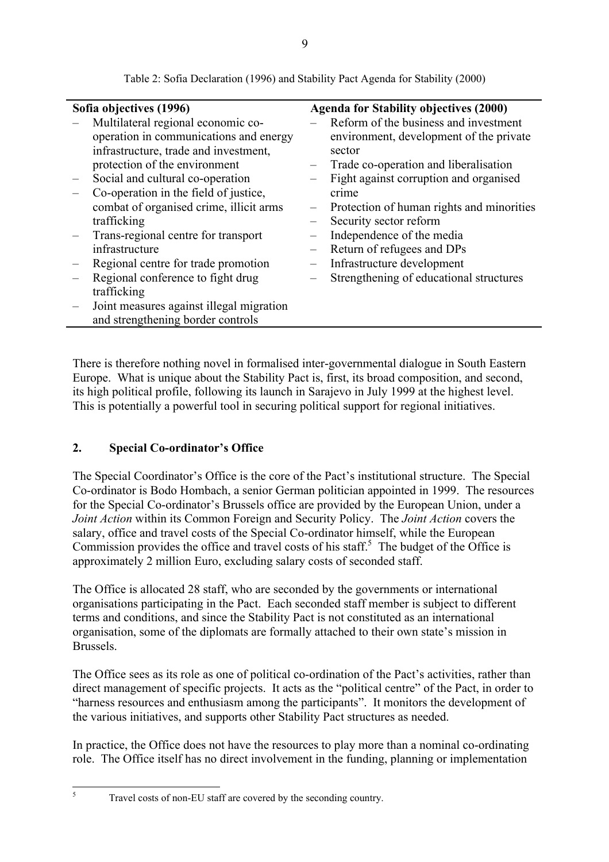| Sofia objectives (1996) |                                          | <b>Agenda for Stability objectives (2000)</b> |                                           |  |
|-------------------------|------------------------------------------|-----------------------------------------------|-------------------------------------------|--|
|                         | Multilateral regional economic co-       |                                               | Reform of the business and investment     |  |
|                         | operation in communications and energy   |                                               | environment, development of the private   |  |
|                         | infrastructure, trade and investment,    |                                               | sector                                    |  |
|                         | protection of the environment            |                                               | Trade co-operation and liberalisation     |  |
|                         | Social and cultural co-operation         |                                               | Fight against corruption and organised    |  |
|                         | Co-operation in the field of justice,    |                                               | crime                                     |  |
|                         | combat of organised crime, illicit arms  |                                               | Protection of human rights and minorities |  |
|                         | trafficking                              |                                               | Security sector reform                    |  |
|                         | Trans-regional centre for transport      |                                               | Independence of the media                 |  |
|                         | infrastructure                           |                                               | Return of refugees and DPs                |  |
|                         | Regional centre for trade promotion      |                                               | Infrastructure development                |  |
|                         | Regional conference to fight drug        |                                               | Strengthening of educational structures   |  |
|                         | trafficking                              |                                               |                                           |  |
|                         | Joint measures against illegal migration |                                               |                                           |  |
|                         | and strengthening border controls        |                                               |                                           |  |
|                         |                                          |                                               |                                           |  |

Table 2: Sofia Declaration (1996) and Stability Pact Agenda for Stability (2000)

There is therefore nothing novel in formalised inter-governmental dialogue in South Eastern Europe. What is unique about the Stability Pact is, first, its broad composition, and second, its high political profile, following its launch in Sarajevo in July 1999 at the highest level. This is potentially a powerful tool in securing political support for regional initiatives.

### **2.** Special Co-ordinator's Office

The Special Coordinator's Office is the core of the Pact's institutional structure. The Special Co-ordinator is Bodo Hombach, a senior German politician appointed in 1999. The resources for the Special Co-ordinator's Brussels office are provided by the European Union, under a *Joint Action* within its Common Foreign and Security Policy. The *Joint Action* covers the salary, office and travel costs of the Special Co-ordinator himself, while the European Commission provides the office and travel costs of his staff.<sup>5</sup> The budget of the Office is approximately 2 million Euro, excluding salary costs of seconded staff.

The Office is allocated 28 staff, who are seconded by the governments or international organisations participating in the Pact. Each seconded staff member is subject to different terms and conditions, and since the Stability Pact is not constituted as an international organisation, some of the diplomats are formally attached to their own state's mission in Brussels.

The Office sees as its role as one of political co-ordination of the Pact's activities, rather than direct management of specific projects. It acts as the "political centre" of the Pact, in order to "harness resources and enthusiasm among the participants". It monitors the development of the various initiatives, and supports other Stability Pact structures as needed.

In practice, the Office does not have the resources to play more than a nominal co-ordinating role. The Office itself has no direct involvement in the funding, planning or implementation

<sup>5</sup> Travel costs of non-EU staff are covered by the seconding country.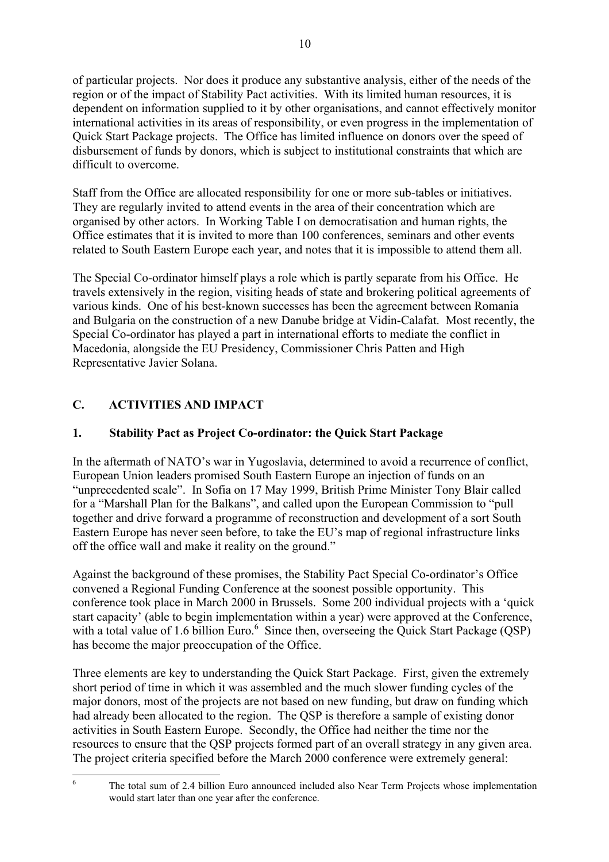of particular projects. Nor does it produce any substantive analysis, either of the needs of the region or of the impact of Stability Pact activities. With its limited human resources, it is dependent on information supplied to it by other organisations, and cannot effectively monitor international activities in its areas of responsibility, or even progress in the implementation of Quick Start Package projects. The Office has limited influence on donors over the speed of disbursement of funds by donors, which is subject to institutional constraints that which are difficult to overcome.

Staff from the Office are allocated responsibility for one or more sub-tables or initiatives. They are regularly invited to attend events in the area of their concentration which are organised by other actors. In Working Table I on democratisation and human rights, the Office estimates that it is invited to more than 100 conferences, seminars and other events related to South Eastern Europe each year, and notes that it is impossible to attend them all.

The Special Co-ordinator himself plays a role which is partly separate from his Office. He travels extensively in the region, visiting heads of state and brokering political agreements of various kinds. One of his best-known successes has been the agreement between Romania and Bulgaria on the construction of a new Danube bridge at Vidin-Calafat. Most recently, the Special Co-ordinator has played a part in international efforts to mediate the conflict in Macedonia, alongside the EU Presidency, Commissioner Chris Patten and High Representative Javier Solana.

# **C. ACTIVITIES AND IMPACT**

# **1. Stability Pact as Project Co-ordinator: the Quick Start Package**

In the aftermath of NATO's war in Yugoslavia, determined to avoid a recurrence of conflict, European Union leaders promised South Eastern Europe an injection of funds on an "unprecedented scale". In Sofia on 17 May 1999, British Prime Minister Tony Blair called for a "Marshall Plan for the Balkans", and called upon the European Commission to "pull together and drive forward a programme of reconstruction and development of a sort South Eastern Europe has never seen before, to take the EU's map of regional infrastructure links off the office wall and make it reality on the ground."

Against the background of these promises, the Stability Pact Special Co-ordinator's Office convened a Regional Funding Conference at the soonest possible opportunity. This conference took place in March 2000 in Brussels. Some 200 individual projects with a 'quick start capacity' (able to begin implementation within a year) were approved at the Conference, with a total value of 1.6 billion Euro.<sup>6</sup> Since then, overseeing the Quick Start Package (QSP) has become the major preoccupation of the Office.

Three elements are key to understanding the Quick Start Package. First, given the extremely short period of time in which it was assembled and the much slower funding cycles of the major donors, most of the projects are not based on new funding, but draw on funding which had already been allocated to the region. The QSP is therefore a sample of existing donor activities in South Eastern Europe. Secondly, the Office had neither the time nor the resources to ensure that the QSP projects formed part of an overall strategy in any given area. The project criteria specified before the March 2000 conference were extremely general:

<sup>&</sup>lt;sup>6</sup> The total sum of 2.4 billion Euro announced included also Near Term Projects whose implementation would start later than one year after the conference.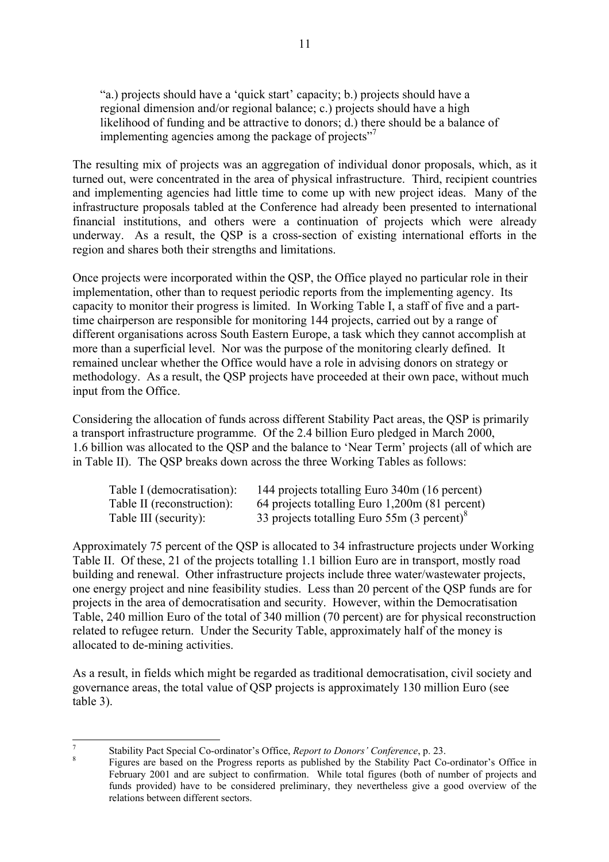"a.) projects should have a 'quick start' capacity; b.) projects should have a regional dimension and/or regional balance; c.) projects should have a high likelihood of funding and be attractive to donors; d.) there should be a balance of implementing agencies among the package of projects<sup> $27$ </sup>

The resulting mix of projects was an aggregation of individual donor proposals, which, as it turned out, were concentrated in the area of physical infrastructure. Third, recipient countries and implementing agencies had little time to come up with new project ideas. Many of the infrastructure proposals tabled at the Conference had already been presented to international financial institutions, and others were a continuation of projects which were already underway. As a result, the QSP is a cross-section of existing international efforts in the region and shares both their strengths and limitations.

Once projects were incorporated within the QSP, the Office played no particular role in their implementation, other than to request periodic reports from the implementing agency. Its capacity to monitor their progress is limited. In Working Table I, a staff of five and a parttime chairperson are responsible for monitoring 144 projects, carried out by a range of different organisations across South Eastern Europe, a task which they cannot accomplish at more than a superficial level. Nor was the purpose of the monitoring clearly defined. It remained unclear whether the Office would have a role in advising donors on strategy or methodology. As a result, the QSP projects have proceeded at their own pace, without much input from the Office.

Considering the allocation of funds across different Stability Pact areas, the QSP is primarily a transport infrastructure programme. Of the 2.4 billion Euro pledged in March 2000, 1.6 billion was allocated to the OSP and the balance to 'Near Term' projects (all of which are in Table II). The QSP breaks down across the three Working Tables as follows:

| Table I (democratisation): | 144 projects totalling Euro 340m (16 percent)             |
|----------------------------|-----------------------------------------------------------|
| Table II (reconstruction): | 64 projects totalling Euro 1,200m (81 percent)            |
| Table III (security):      | 33 projects totalling Euro $55m(3)$ percent) <sup>8</sup> |

Approximately 75 percent of the QSP is allocated to 34 infrastructure projects under Working Table II. Of these, 21 of the projects totalling 1.1 billion Euro are in transport, mostly road building and renewal. Other infrastructure projects include three water/wastewater projects, one energy project and nine feasibility studies. Less than 20 percent of the QSP funds are for projects in the area of democratisation and security. However, within the Democratisation Table, 240 million Euro of the total of 340 million (70 percent) are for physical reconstruction related to refugee return. Under the Security Table, approximately half of the money is allocated to de-mining activities.

As a result, in fields which might be regarded as traditional democratisation, civil society and governance areas, the total value of QSP projects is approximately 130 million Euro (see table 3).

<sup>&</sup>lt;sup>7</sup><br><sup>8</sup> Stability Pact Special Co-ordinator's Office, *Report to Donors' Conference*, p. 23.<br><sup>8</sup> Figures are based on the Progress reports as published by the Stability Pact Co-ordinator's Office in February 2001 and are subject to confirmation. While total figures (both of number of projects and funds provided) have to be considered preliminary, they nevertheless give a good overview of the relations between different sectors.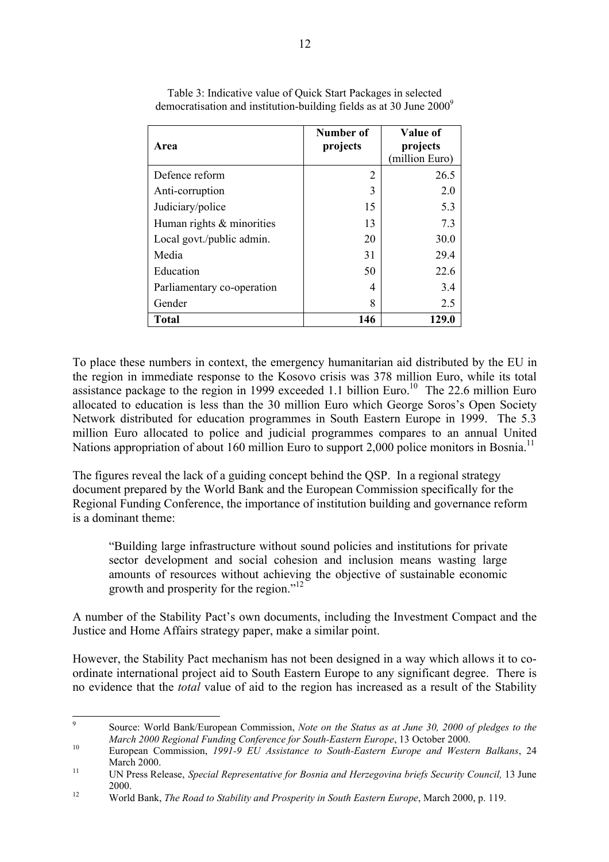| Area                         | Number of<br>projects | Value of<br>projects<br>(million Euro) |
|------------------------------|-----------------------|----------------------------------------|
| Defence reform               | $\overline{2}$        | 26.5                                   |
| Anti-corruption              | 3                     | 2.0                                    |
| Judiciary/police             | 15                    | 5.3                                    |
| Human rights $\&$ minorities | 13                    | 7.3                                    |
| Local govt./public admin.    | 20                    | 30.0                                   |
| Media                        | 31                    | 29.4                                   |
| Education                    | 50                    | 22.6                                   |
| Parliamentary co-operation   | 4                     | 3.4                                    |
| Gender                       | 8                     | 2.5                                    |
| <b>Total</b>                 | 146                   | 129.0                                  |

Table 3: Indicative value of Quick Start Packages in selected democratisation and institution-building fields as at 30 June 20009

To place these numbers in context, the emergency humanitarian aid distributed by the EU in the region in immediate response to the Kosovo crisis was 378 million Euro, while its total assistance package to the region in 1999 exceeded 1.1 billion Euro.<sup>10</sup> The 22.6 million Euro allocated to education is less than the 30 million Euro which George Soros's Open Society Network distributed for education programmes in South Eastern Europe in 1999. The 5.3 million Euro allocated to police and judicial programmes compares to an annual United Nations appropriation of about 160 million Euro to support 2,000 police monitors in Bosnia.<sup>11</sup>

The figures reveal the lack of a guiding concept behind the QSP. In a regional strategy document prepared by the World Bank and the European Commission specifically for the Regional Funding Conference, the importance of institution building and governance reform is a dominant theme:

ìBuilding large infrastructure without sound policies and institutions for private sector development and social cohesion and inclusion means wasting large amounts of resources without achieving the objective of sustainable economic growth and prosperity for the region.<sup> $12$ </sup>

A number of the Stability Pact's own documents, including the Investment Compact and the Justice and Home Affairs strategy paper, make a similar point.

However, the Stability Pact mechanism has not been designed in a way which allows it to coordinate international project aid to South Eastern Europe to any significant degree. There is no evidence that the *total* value of aid to the region has increased as a result of the Stability

<sup>9</sup> Source: World Bank/European Commission, *Note on the Status as at June 30, 2000 of pledges to the March 2000 Regional Funding Conference for South-Eastern Europe*, 13 October 2000.<br><sup>10</sup> European Commission, *1991-9 EU Assistance to South-Eastern Europe and Western Balkans*, 24

March 2000.<br><sup>11</sup> UN Press Release, *Special Representative for Bosnia and Herzegovina briefs Security Council, 13 June* 

<sup>2000.</sup> <sup>12</sup> World Bank, *The Road to Stability and Prosperity in South Eastern Europe*, March 2000, p. 119.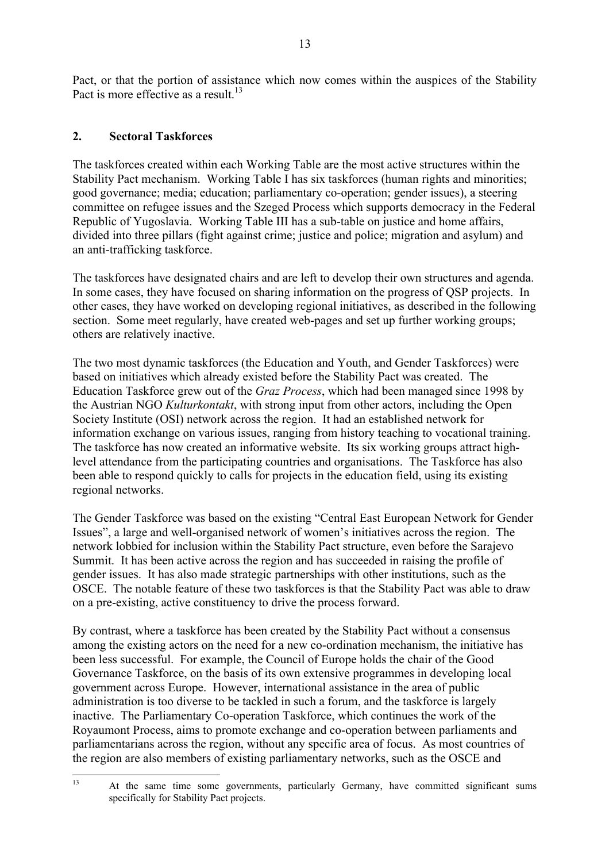Pact, or that the portion of assistance which now comes within the auspices of the Stability Pact is more effective as a result.<sup>13</sup>

### **2. Sectoral Taskforces**

The taskforces created within each Working Table are the most active structures within the Stability Pact mechanism. Working Table I has six taskforces (human rights and minorities; good governance; media; education; parliamentary co-operation; gender issues), a steering committee on refugee issues and the Szeged Process which supports democracy in the Federal Republic of Yugoslavia. Working Table III has a sub-table on justice and home affairs, divided into three pillars (fight against crime; justice and police; migration and asylum) and an anti-trafficking taskforce.

The taskforces have designated chairs and are left to develop their own structures and agenda. In some cases, they have focused on sharing information on the progress of QSP projects. In other cases, they have worked on developing regional initiatives, as described in the following section. Some meet regularly, have created web-pages and set up further working groups; others are relatively inactive.

The two most dynamic taskforces (the Education and Youth, and Gender Taskforces) were based on initiatives which already existed before the Stability Pact was created. The Education Taskforce grew out of the *Graz Process*, which had been managed since 1998 by the Austrian NGO *Kulturkontakt*, with strong input from other actors, including the Open Society Institute (OSI) network across the region. It had an established network for information exchange on various issues, ranging from history teaching to vocational training. The taskforce has now created an informative website. Its six working groups attract highlevel attendance from the participating countries and organisations. The Taskforce has also been able to respond quickly to calls for projects in the education field, using its existing regional networks.

The Gender Taskforce was based on the existing "Central East European Network for Gender Issues", a large and well-organised network of women's initiatives across the region. The network lobbied for inclusion within the Stability Pact structure, even before the Sarajevo Summit. It has been active across the region and has succeeded in raising the profile of gender issues. It has also made strategic partnerships with other institutions, such as the OSCE. The notable feature of these two taskforces is that the Stability Pact was able to draw on a pre-existing, active constituency to drive the process forward.

By contrast, where a taskforce has been created by the Stability Pact without a consensus among the existing actors on the need for a new co-ordination mechanism, the initiative has been less successful. For example, the Council of Europe holds the chair of the Good Governance Taskforce, on the basis of its own extensive programmes in developing local government across Europe. However, international assistance in the area of public administration is too diverse to be tackled in such a forum, and the taskforce is largely inactive. The Parliamentary Co-operation Taskforce, which continues the work of the Royaumont Process, aims to promote exchange and co-operation between parliaments and parliamentarians across the region, without any specific area of focus. As most countries of the region are also members of existing parliamentary networks, such as the OSCE and

<sup>&</sup>lt;sup>13</sup> At the same time some governments, particularly Germany, have committed significant sums specifically for Stability Pact projects.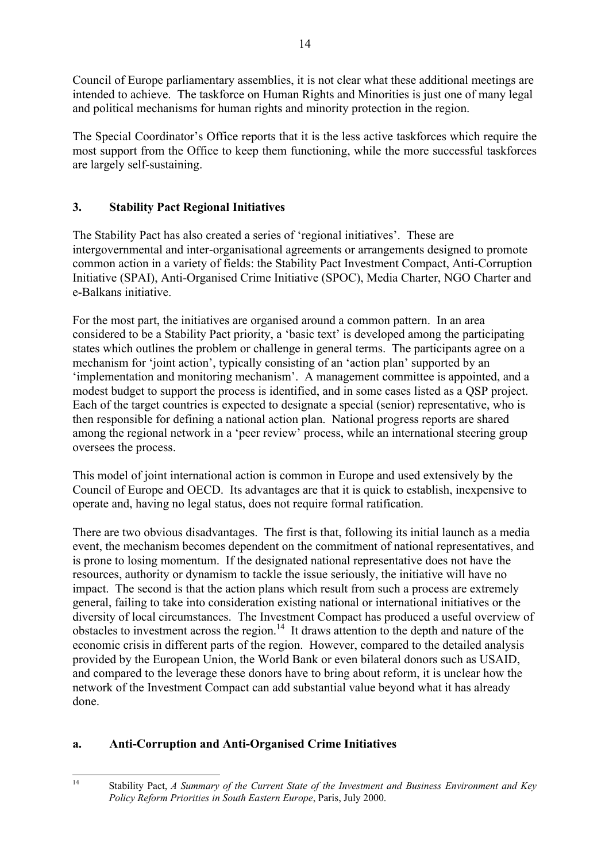Council of Europe parliamentary assemblies, it is not clear what these additional meetings are intended to achieve. The taskforce on Human Rights and Minorities is just one of many legal and political mechanisms for human rights and minority protection in the region.

The Special Coordinator's Office reports that it is the less active taskforces which require the most support from the Office to keep them functioning, while the more successful taskforces are largely self-sustaining.

# **3. Stability Pact Regional Initiatives**

The Stability Pact has also created a series of 'regional initiatives'. These are intergovernmental and inter-organisational agreements or arrangements designed to promote common action in a variety of fields: the Stability Pact Investment Compact, Anti-Corruption Initiative (SPAI), Anti-Organised Crime Initiative (SPOC), Media Charter, NGO Charter and e-Balkans initiative.

For the most part, the initiatives are organised around a common pattern. In an area considered to be a Stability Pact priority, a 'basic text' is developed among the participating states which outlines the problem or challenge in general terms. The participants agree on a mechanism for 'joint action', typically consisting of an 'action plan' supported by an implementation and monitoring mechanism<sup>3</sup>. A management committee is appointed, and a modest budget to support the process is identified, and in some cases listed as a QSP project. Each of the target countries is expected to designate a special (senior) representative, who is then responsible for defining a national action plan. National progress reports are shared among the regional network in a 'peer review' process, while an international steering group oversees the process.

This model of joint international action is common in Europe and used extensively by the Council of Europe and OECD. Its advantages are that it is quick to establish, inexpensive to operate and, having no legal status, does not require formal ratification.

There are two obvious disadvantages. The first is that, following its initial launch as a media event, the mechanism becomes dependent on the commitment of national representatives, and is prone to losing momentum. If the designated national representative does not have the resources, authority or dynamism to tackle the issue seriously, the initiative will have no impact. The second is that the action plans which result from such a process are extremely general, failing to take into consideration existing national or international initiatives or the diversity of local circumstances. The Investment Compact has produced a useful overview of obstacles to investment across the region.14 It draws attention to the depth and nature of the economic crisis in different parts of the region. However, compared to the detailed analysis provided by the European Union, the World Bank or even bilateral donors such as USAID, and compared to the leverage these donors have to bring about reform, it is unclear how the network of the Investment Compact can add substantial value beyond what it has already done.

# **a. Anti-Corruption and Anti-Organised Crime Initiatives**

<sup>14</sup> Stability Pact, *A Summary of the Current State of the Investment and Business Environment and Key Policy Reform Priorities in South Eastern Europe*, Paris, July 2000.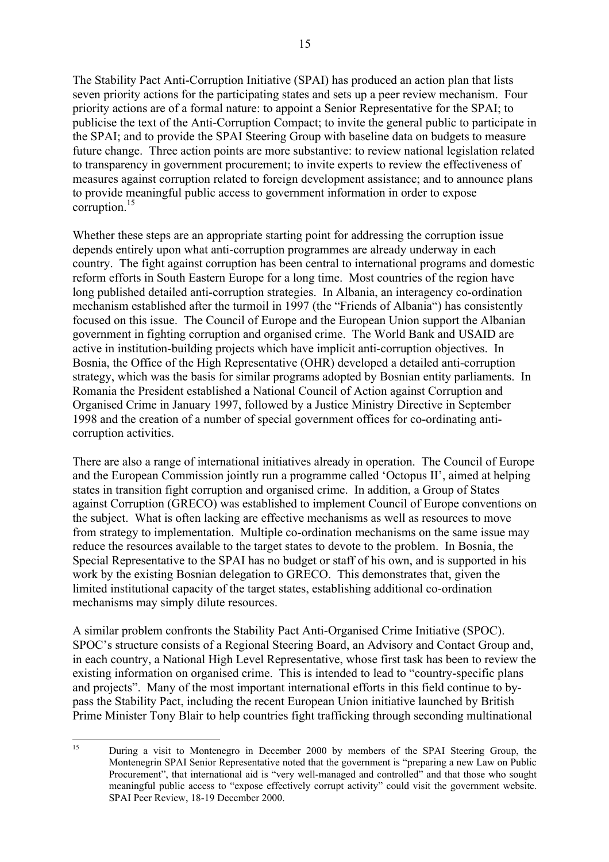The Stability Pact Anti-Corruption Initiative (SPAI) has produced an action plan that lists seven priority actions for the participating states and sets up a peer review mechanism. Four priority actions are of a formal nature: to appoint a Senior Representative for the SPAI; to publicise the text of the Anti-Corruption Compact; to invite the general public to participate in the SPAI; and to provide the SPAI Steering Group with baseline data on budgets to measure future change. Three action points are more substantive: to review national legislation related to transparency in government procurement; to invite experts to review the effectiveness of measures against corruption related to foreign development assistance; and to announce plans to provide meaningful public access to government information in order to expose corruption.<sup>15</sup>

Whether these steps are an appropriate starting point for addressing the corruption issue depends entirely upon what anti-corruption programmes are already underway in each country. The fight against corruption has been central to international programs and domestic reform efforts in South Eastern Europe for a long time. Most countries of the region have long published detailed anti-corruption strategies. In Albania, an interagency co-ordination mechanism established after the turmoil in 1997 (the "Friends of Albania") has consistently focused on this issue. The Council of Europe and the European Union support the Albanian government in fighting corruption and organised crime. The World Bank and USAID are active in institution-building projects which have implicit anti-corruption objectives. In Bosnia, the Office of the High Representative (OHR) developed a detailed anti-corruption strategy, which was the basis for similar programs adopted by Bosnian entity parliaments. In Romania the President established a National Council of Action against Corruption and Organised Crime in January 1997, followed by a Justice Ministry Directive in September 1998 and the creation of a number of special government offices for co-ordinating anticorruption activities.

There are also a range of international initiatives already in operation. The Council of Europe and the European Commission jointly run a programme called 'Octopus II', aimed at helping states in transition fight corruption and organised crime. In addition, a Group of States against Corruption (GRECO) was established to implement Council of Europe conventions on the subject. What is often lacking are effective mechanisms as well as resources to move from strategy to implementation. Multiple co-ordination mechanisms on the same issue may reduce the resources available to the target states to devote to the problem. In Bosnia, the Special Representative to the SPAI has no budget or staff of his own, and is supported in his work by the existing Bosnian delegation to GRECO. This demonstrates that, given the limited institutional capacity of the target states, establishing additional co-ordination mechanisms may simply dilute resources.

A similar problem confronts the Stability Pact Anti-Organised Crime Initiative (SPOC). SPOC's structure consists of a Regional Steering Board, an Advisory and Contact Group and, in each country, a National High Level Representative, whose first task has been to review the existing information on organised crime. This is intended to lead to "country-specific plans" and projects". Many of the most important international efforts in this field continue to bypass the Stability Pact, including the recent European Union initiative launched by British Prime Minister Tony Blair to help countries fight trafficking through seconding multinational

<sup>&</sup>lt;sup>15</sup> During a visit to Montenegro in December 2000 by members of the SPAI Steering Group, the Montenegrin SPAI Senior Representative noted that the government is "preparing a new Law on Public Procurement", that international aid is "very well-managed and controlled" and that those who sought meaningful public access to "expose effectively corrupt activity" could visit the government website. SPAI Peer Review, 18-19 December 2000.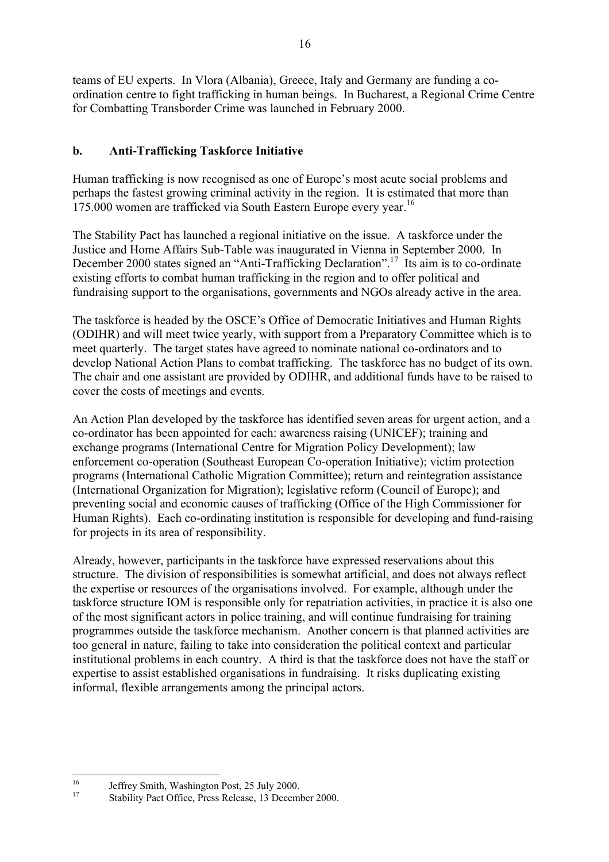teams of EU experts. In Vlora (Albania), Greece, Italy and Germany are funding a coordination centre to fight trafficking in human beings. In Bucharest, a Regional Crime Centre for Combatting Transborder Crime was launched in February 2000.

### **b. Anti-Trafficking Taskforce Initiative**

Human trafficking is now recognised as one of Europe's most acute social problems and perhaps the fastest growing criminal activity in the region. It is estimated that more than 175.000 women are trafficked via South Eastern Europe every year.<sup>16</sup>

The Stability Pact has launched a regional initiative on the issue. A taskforce under the Justice and Home Affairs Sub-Table was inaugurated in Vienna in September 2000. In December 2000 states signed an "Anti-Trafficking Declaration".<sup>17</sup> Its aim is to co-ordinate existing efforts to combat human trafficking in the region and to offer political and fundraising support to the organisations, governments and NGOs already active in the area.

The taskforce is headed by the OSCE's Office of Democratic Initiatives and Human Rights (ODIHR) and will meet twice yearly, with support from a Preparatory Committee which is to meet quarterly. The target states have agreed to nominate national co-ordinators and to develop National Action Plans to combat trafficking. The taskforce has no budget of its own. The chair and one assistant are provided by ODIHR, and additional funds have to be raised to cover the costs of meetings and events.

An Action Plan developed by the taskforce has identified seven areas for urgent action, and a co-ordinator has been appointed for each: awareness raising (UNICEF); training and exchange programs (International Centre for Migration Policy Development); law enforcement co-operation (Southeast European Co-operation Initiative); victim protection programs (International Catholic Migration Committee); return and reintegration assistance (International Organization for Migration); legislative reform (Council of Europe); and preventing social and economic causes of trafficking (Office of the High Commissioner for Human Rights). Each co-ordinating institution is responsible for developing and fund-raising for projects in its area of responsibility.

Already, however, participants in the taskforce have expressed reservations about this structure. The division of responsibilities is somewhat artificial, and does not always reflect the expertise or resources of the organisations involved. For example, although under the taskforce structure IOM is responsible only for repatriation activities, in practice it is also one of the most significant actors in police training, and will continue fundraising for training programmes outside the taskforce mechanism. Another concern is that planned activities are too general in nature, failing to take into consideration the political context and particular institutional problems in each country. A third is that the taskforce does not have the staff or expertise to assist established organisations in fundraising. It risks duplicating existing informal, flexible arrangements among the principal actors.

<sup>&</sup>lt;sup>16</sup> Jeffrey Smith, Washington Post, 25 July 2000.<br><sup>17</sup> Stability Pact Office, Press Release, 13 December 2000.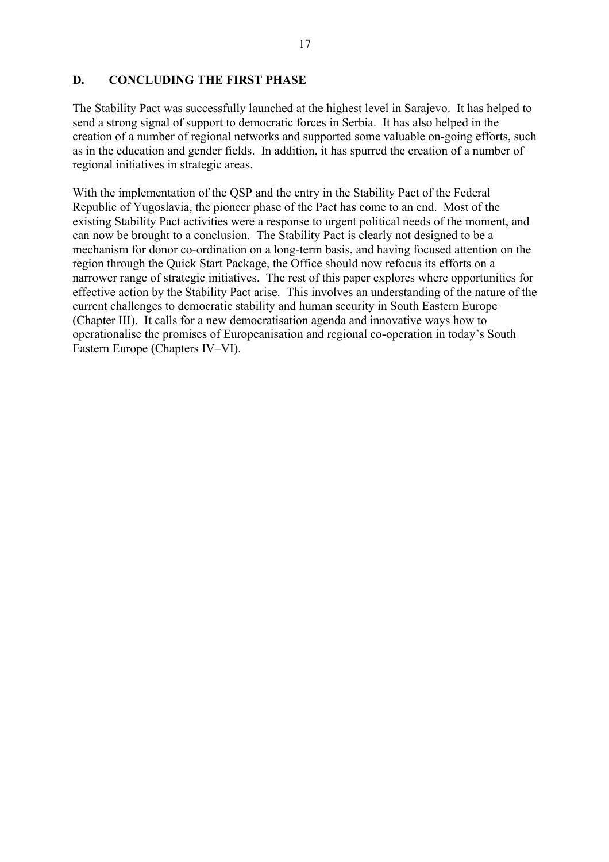#### **D. CONCLUDING THE FIRST PHASE**

The Stability Pact was successfully launched at the highest level in Sarajevo. It has helped to send a strong signal of support to democratic forces in Serbia. It has also helped in the creation of a number of regional networks and supported some valuable on-going efforts, such as in the education and gender fields. In addition, it has spurred the creation of a number of regional initiatives in strategic areas.

With the implementation of the QSP and the entry in the Stability Pact of the Federal Republic of Yugoslavia, the pioneer phase of the Pact has come to an end. Most of the existing Stability Pact activities were a response to urgent political needs of the moment, and can now be brought to a conclusion. The Stability Pact is clearly not designed to be a mechanism for donor co-ordination on a long-term basis, and having focused attention on the region through the Quick Start Package, the Office should now refocus its efforts on a narrower range of strategic initiatives. The rest of this paper explores where opportunities for effective action by the Stability Pact arise. This involves an understanding of the nature of the current challenges to democratic stability and human security in South Eastern Europe (Chapter III). It calls for a new democratisation agenda and innovative ways how to operationalise the promises of Europeanisation and regional co-operation in todayís South Eastern Europe (Chapters IV–VI).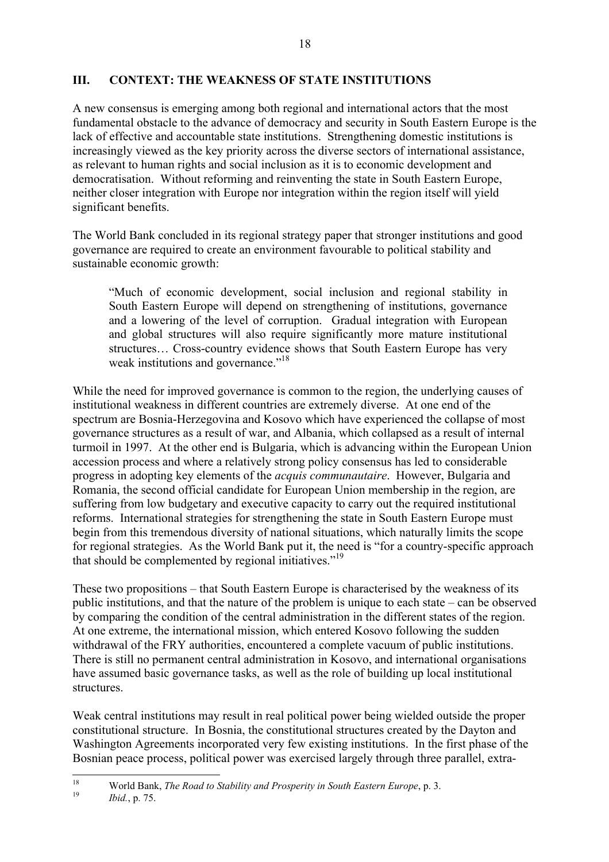### **III. CONTEXT: THE WEAKNESS OF STATE INSTITUTIONS**

A new consensus is emerging among both regional and international actors that the most fundamental obstacle to the advance of democracy and security in South Eastern Europe is the lack of effective and accountable state institutions. Strengthening domestic institutions is increasingly viewed as the key priority across the diverse sectors of international assistance, as relevant to human rights and social inclusion as it is to economic development and democratisation. Without reforming and reinventing the state in South Eastern Europe, neither closer integration with Europe nor integration within the region itself will yield significant benefits.

The World Bank concluded in its regional strategy paper that stronger institutions and good governance are required to create an environment favourable to political stability and sustainable economic growth:

ìMuch of economic development, social inclusion and regional stability in South Eastern Europe will depend on strengthening of institutions, governance and a lowering of the level of corruption. Gradual integration with European and global structures will also require significantly more mature institutional structures... Cross-country evidence shows that South Eastern Europe has very weak institutions and governance."<sup>18</sup>

While the need for improved governance is common to the region, the underlying causes of institutional weakness in different countries are extremely diverse. At one end of the spectrum are Bosnia-Herzegovina and Kosovo which have experienced the collapse of most governance structures as a result of war, and Albania, which collapsed as a result of internal turmoil in 1997. At the other end is Bulgaria, which is advancing within the European Union accession process and where a relatively strong policy consensus has led to considerable progress in adopting key elements of the *acquis communautaire*. However, Bulgaria and Romania, the second official candidate for European Union membership in the region, are suffering from low budgetary and executive capacity to carry out the required institutional reforms. International strategies for strengthening the state in South Eastern Europe must begin from this tremendous diversity of national situations, which naturally limits the scope for regional strategies. As the World Bank put it, the need is "for a country-specific approach that should be complemented by regional initiatives.<sup> $19$ </sup>

These two propositions – that South Eastern Europe is characterised by the weakness of its public institutions, and that the nature of the problem is unique to each state  $-\text{ can be observed}$ by comparing the condition of the central administration in the different states of the region. At one extreme, the international mission, which entered Kosovo following the sudden withdrawal of the FRY authorities, encountered a complete vacuum of public institutions. There is still no permanent central administration in Kosovo, and international organisations have assumed basic governance tasks, as well as the role of building up local institutional structures.

Weak central institutions may result in real political power being wielded outside the proper constitutional structure. In Bosnia, the constitutional structures created by the Dayton and Washington Agreements incorporated very few existing institutions. In the first phase of the Bosnian peace process, political power was exercised largely through three parallel, extra-

<sup>18</sup> World Bank, *The Road to Stability and Prosperity in South Eastern Europe*, p. 3. <sup>19</sup> *Ibid.*, p. 75.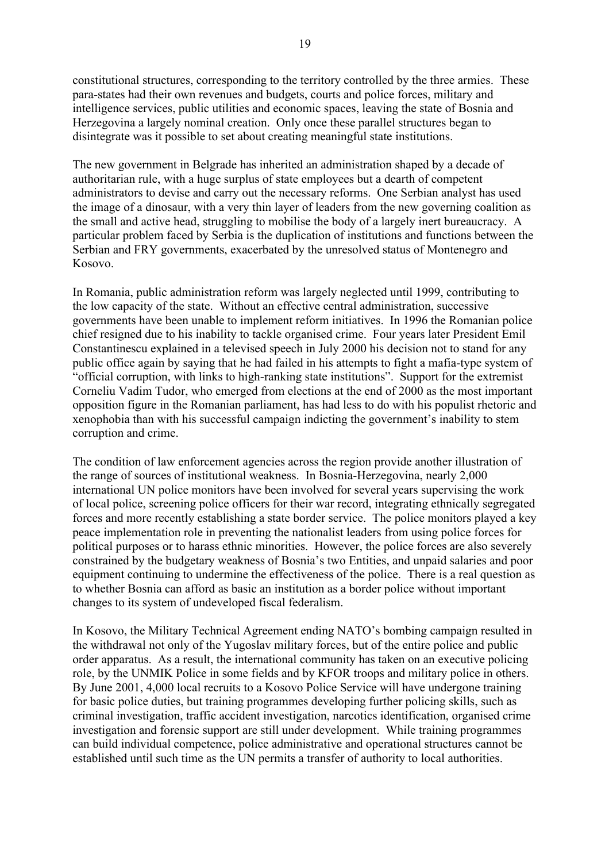constitutional structures, corresponding to the territory controlled by the three armies. These para-states had their own revenues and budgets, courts and police forces, military and intelligence services, public utilities and economic spaces, leaving the state of Bosnia and Herzegovina a largely nominal creation. Only once these parallel structures began to disintegrate was it possible to set about creating meaningful state institutions.

The new government in Belgrade has inherited an administration shaped by a decade of authoritarian rule, with a huge surplus of state employees but a dearth of competent administrators to devise and carry out the necessary reforms. One Serbian analyst has used the image of a dinosaur, with a very thin layer of leaders from the new governing coalition as the small and active head, struggling to mobilise the body of a largely inert bureaucracy. A particular problem faced by Serbia is the duplication of institutions and functions between the Serbian and FRY governments, exacerbated by the unresolved status of Montenegro and Kosovo.

In Romania, public administration reform was largely neglected until 1999, contributing to the low capacity of the state. Without an effective central administration, successive governments have been unable to implement reform initiatives. In 1996 the Romanian police chief resigned due to his inability to tackle organised crime. Four years later President Emil Constantinescu explained in a televised speech in July 2000 his decision not to stand for any public office again by saying that he had failed in his attempts to fight a mafia-type system of "official corruption, with links to high-ranking state institutions". Support for the extremist Corneliu Vadim Tudor, who emerged from elections at the end of 2000 as the most important opposition figure in the Romanian parliament, has had less to do with his populist rhetoric and xenophobia than with his successful campaign indicting the government's inability to stem corruption and crime.

The condition of law enforcement agencies across the region provide another illustration of the range of sources of institutional weakness. In Bosnia-Herzegovina, nearly 2,000 international UN police monitors have been involved for several years supervising the work of local police, screening police officers for their war record, integrating ethnically segregated forces and more recently establishing a state border service. The police monitors played a key peace implementation role in preventing the nationalist leaders from using police forces for political purposes or to harass ethnic minorities. However, the police forces are also severely constrained by the budgetary weakness of Bosnia's two Entities, and unpaid salaries and poor equipment continuing to undermine the effectiveness of the police. There is a real question as to whether Bosnia can afford as basic an institution as a border police without important changes to its system of undeveloped fiscal federalism.

In Kosovo, the Military Technical Agreement ending NATO's bombing campaign resulted in the withdrawal not only of the Yugoslav military forces, but of the entire police and public order apparatus. As a result, the international community has taken on an executive policing role, by the UNMIK Police in some fields and by KFOR troops and military police in others. By June 2001, 4,000 local recruits to a Kosovo Police Service will have undergone training for basic police duties, but training programmes developing further policing skills, such as criminal investigation, traffic accident investigation, narcotics identification, organised crime investigation and forensic support are still under development. While training programmes can build individual competence, police administrative and operational structures cannot be established until such time as the UN permits a transfer of authority to local authorities.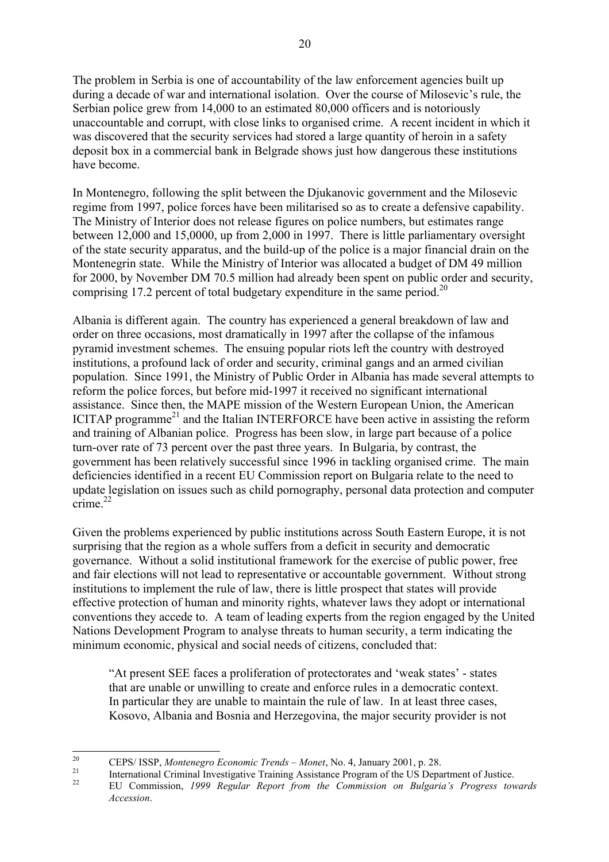The problem in Serbia is one of accountability of the law enforcement agencies built up during a decade of war and international isolation. Over the course of Milosevic's rule, the Serbian police grew from 14,000 to an estimated 80,000 officers and is notoriously unaccountable and corrupt, with close links to organised crime. A recent incident in which it was discovered that the security services had stored a large quantity of heroin in a safety deposit box in a commercial bank in Belgrade shows just how dangerous these institutions have become.

In Montenegro, following the split between the Djukanovic government and the Milosevic regime from 1997, police forces have been militarised so as to create a defensive capability. The Ministry of Interior does not release figures on police numbers, but estimates range between 12,000 and 15,0000, up from 2,000 in 1997. There is little parliamentary oversight of the state security apparatus, and the build-up of the police is a major financial drain on the Montenegrin state. While the Ministry of Interior was allocated a budget of DM 49 million for 2000, by November DM 70.5 million had already been spent on public order and security, comprising 17.2 percent of total budgetary expenditure in the same period.<sup>20</sup>

Albania is different again. The country has experienced a general breakdown of law and order on three occasions, most dramatically in 1997 after the collapse of the infamous pyramid investment schemes. The ensuing popular riots left the country with destroyed institutions, a profound lack of order and security, criminal gangs and an armed civilian population. Since 1991, the Ministry of Public Order in Albania has made several attempts to reform the police forces, but before mid-1997 it received no significant international assistance. Since then, the MAPE mission of the Western European Union, the American ICITAP programme<sup>21</sup> and the Italian INTERFORCE have been active in assisting the reform and training of Albanian police. Progress has been slow, in large part because of a police turn-over rate of 73 percent over the past three years. In Bulgaria, by contrast, the government has been relatively successful since 1996 in tackling organised crime. The main deficiencies identified in a recent EU Commission report on Bulgaria relate to the need to update legislation on issues such as child pornography, personal data protection and computer  $\frac{1}{\text{c$ rime}}<sup>22</sup>

Given the problems experienced by public institutions across South Eastern Europe, it is not surprising that the region as a whole suffers from a deficit in security and democratic governance. Without a solid institutional framework for the exercise of public power, free and fair elections will not lead to representative or accountable government. Without strong institutions to implement the rule of law, there is little prospect that states will provide effective protection of human and minority rights, whatever laws they adopt or international conventions they accede to. A team of leading experts from the region engaged by the United Nations Development Program to analyse threats to human security, a term indicating the minimum economic, physical and social needs of citizens, concluded that:

"At present SEE faces a proliferation of protectorates and 'weak states' - states that are unable or unwilling to create and enforce rules in a democratic context. In particular they are unable to maintain the rule of law. In at least three cases, Kosovo, Albania and Bosnia and Herzegovina, the major security provider is not

<sup>&</sup>lt;sup>20</sup> CEPS/ ISSP, *Montenegro Economic Trends – Monet*, No. 4, January 2001, p. 28.<br>
<sup>21</sup> International Criminal Investigative Training Assistance Program of the US Department of Justice.<br>
<sup>22</sup> EU Commission, 1999 Regular R

*Accession*.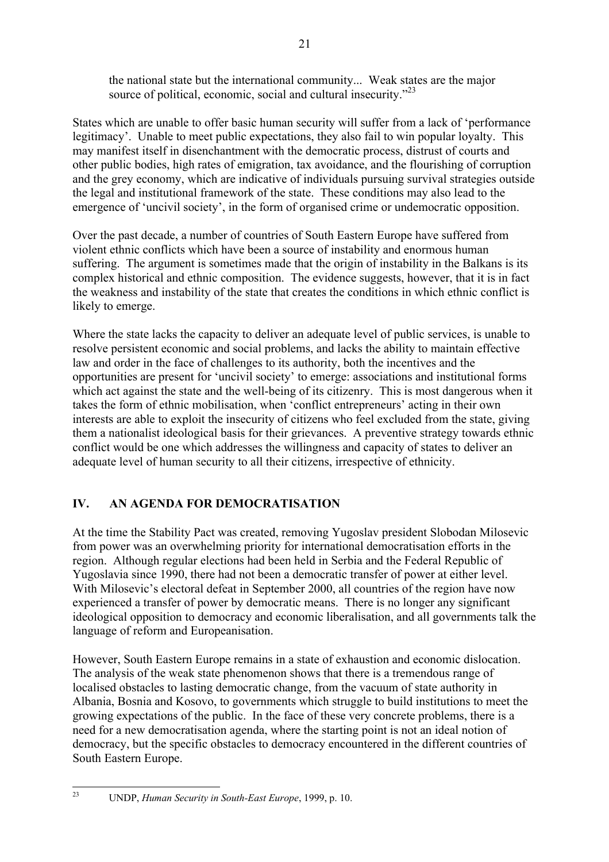the national state but the international community... Weak states are the major source of political, economic, social and cultural insecurity. $2^{23}$ 

States which are unable to offer basic human security will suffer from a lack of 'performance legitimacy'. Unable to meet public expectations, they also fail to win popular loyalty. This may manifest itself in disenchantment with the democratic process, distrust of courts and other public bodies, high rates of emigration, tax avoidance, and the flourishing of corruption and the grey economy, which are indicative of individuals pursuing survival strategies outside the legal and institutional framework of the state. These conditions may also lead to the emergence of 'uncivil society', in the form of organised crime or undemocratic opposition.

Over the past decade, a number of countries of South Eastern Europe have suffered from violent ethnic conflicts which have been a source of instability and enormous human suffering. The argument is sometimes made that the origin of instability in the Balkans is its complex historical and ethnic composition. The evidence suggests, however, that it is in fact the weakness and instability of the state that creates the conditions in which ethnic conflict is likely to emerge.

Where the state lacks the capacity to deliver an adequate level of public services, is unable to resolve persistent economic and social problems, and lacks the ability to maintain effective law and order in the face of challenges to its authority, both the incentives and the opportunities are present for 'uncivil society' to emerge: associations and institutional forms which act against the state and the well-being of its citizenry. This is most dangerous when it takes the form of ethnic mobilisation, when 'conflict entrepreneurs' acting in their own interests are able to exploit the insecurity of citizens who feel excluded from the state, giving them a nationalist ideological basis for their grievances. A preventive strategy towards ethnic conflict would be one which addresses the willingness and capacity of states to deliver an adequate level of human security to all their citizens, irrespective of ethnicity.

# **IV. AN AGENDA FOR DEMOCRATISATION**

At the time the Stability Pact was created, removing Yugoslav president Slobodan Milosevic from power was an overwhelming priority for international democratisation efforts in the region. Although regular elections had been held in Serbia and the Federal Republic of Yugoslavia since 1990, there had not been a democratic transfer of power at either level. With Milosevic's electoral defeat in September 2000, all countries of the region have now experienced a transfer of power by democratic means. There is no longer any significant ideological opposition to democracy and economic liberalisation, and all governments talk the language of reform and Europeanisation.

However, South Eastern Europe remains in a state of exhaustion and economic dislocation. The analysis of the weak state phenomenon shows that there is a tremendous range of localised obstacles to lasting democratic change, from the vacuum of state authority in Albania, Bosnia and Kosovo, to governments which struggle to build institutions to meet the growing expectations of the public. In the face of these very concrete problems, there is a need for a new democratisation agenda, where the starting point is not an ideal notion of democracy, but the specific obstacles to democracy encountered in the different countries of South Eastern Europe.

<sup>23</sup> UNDP, *Human Security in South-East Europe*, 1999, p. 10.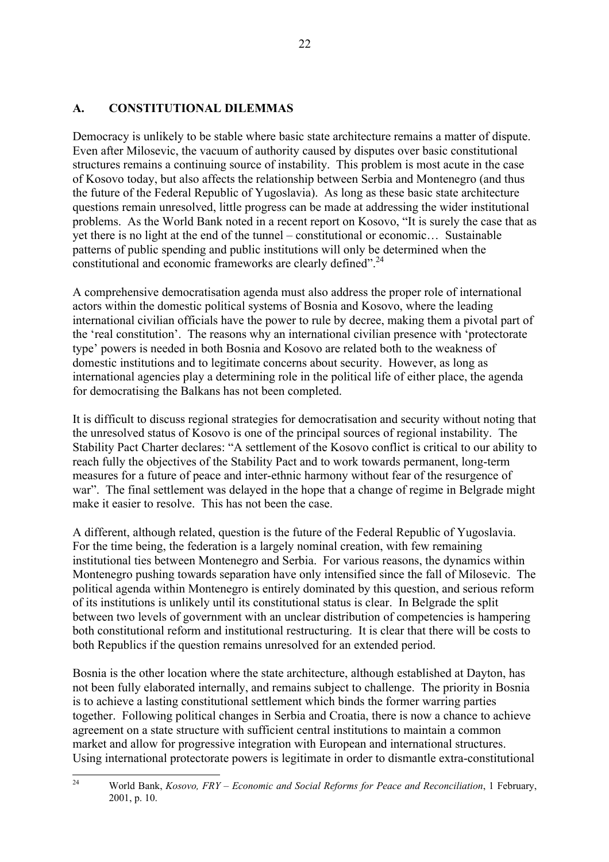### **A. CONSTITUTIONAL DILEMMAS**

Democracy is unlikely to be stable where basic state architecture remains a matter of dispute. Even after Milosevic, the vacuum of authority caused by disputes over basic constitutional structures remains a continuing source of instability. This problem is most acute in the case of Kosovo today, but also affects the relationship between Serbia and Montenegro (and thus the future of the Federal Republic of Yugoslavia). As long as these basic state architecture questions remain unresolved, little progress can be made at addressing the wider institutional problems. As the World Bank noted in a recent report on Kosovo, "It is surely the case that as yet there is no light at the end of the tunnel  $-$  constitutional or economic $\ldots$  Sustainable patterns of public spending and public institutions will only be determined when the constitutional and economic frameworks are clearly defined<sup> $24$ </sup>.

A comprehensive democratisation agenda must also address the proper role of international actors within the domestic political systems of Bosnia and Kosovo, where the leading international civilian officials have the power to rule by decree, making them a pivotal part of the 'real constitution'. The reasons why an international civilian presence with 'protectorate type' powers is needed in both Bosnia and Kosovo are related both to the weakness of domestic institutions and to legitimate concerns about security. However, as long as international agencies play a determining role in the political life of either place, the agenda for democratising the Balkans has not been completed.

It is difficult to discuss regional strategies for democratisation and security without noting that the unresolved status of Kosovo is one of the principal sources of regional instability. The Stability Pact Charter declares: "A settlement of the Kosovo conflict is critical to our ability to reach fully the objectives of the Stability Pact and to work towards permanent, long-term measures for a future of peace and inter-ethnic harmony without fear of the resurgence of war". The final settlement was delayed in the hope that a change of regime in Belgrade might make it easier to resolve. This has not been the case.

A different, although related, question is the future of the Federal Republic of Yugoslavia. For the time being, the federation is a largely nominal creation, with few remaining institutional ties between Montenegro and Serbia. For various reasons, the dynamics within Montenegro pushing towards separation have only intensified since the fall of Milosevic. The political agenda within Montenegro is entirely dominated by this question, and serious reform of its institutions is unlikely until its constitutional status is clear. In Belgrade the split between two levels of government with an unclear distribution of competencies is hampering both constitutional reform and institutional restructuring. It is clear that there will be costs to both Republics if the question remains unresolved for an extended period.

Bosnia is the other location where the state architecture, although established at Dayton, has not been fully elaborated internally, and remains subject to challenge. The priority in Bosnia is to achieve a lasting constitutional settlement which binds the former warring parties together. Following political changes in Serbia and Croatia, there is now a chance to achieve agreement on a state structure with sufficient central institutions to maintain a common market and allow for progressive integration with European and international structures. Using international protectorate powers is legitimate in order to dismantle extra-constitutional

<sup>&</sup>lt;sup>24</sup> World Bank, *Kosovo, FRY – Economic and Social Reforms for Peace and Reconciliation*, 1 February, 2001, p. 10.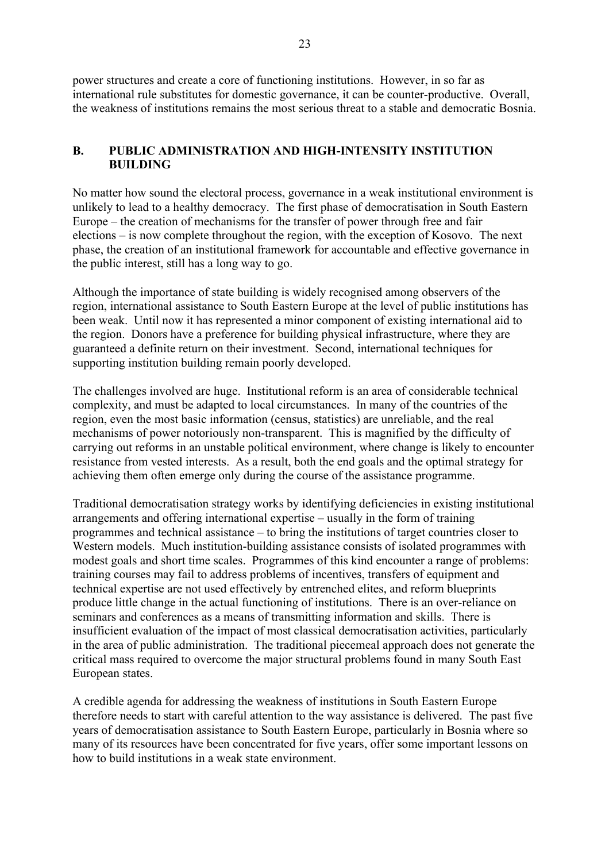power structures and create a core of functioning institutions. However, in so far as international rule substitutes for domestic governance, it can be counter-productive. Overall, the weakness of institutions remains the most serious threat to a stable and democratic Bosnia.

### **B. PUBLIC ADMINISTRATION AND HIGH-INTENSITY INSTITUTION BUILDING**

No matter how sound the electoral process, governance in a weak institutional environment is unlikely to lead to a healthy democracy. The first phase of democratisation in South Eastern Europe  $-$  the creation of mechanisms for the transfer of power through free and fair elections  $-\text{ is now complete throughout the region, with the exception of Kosovo. The next$ phase, the creation of an institutional framework for accountable and effective governance in the public interest, still has a long way to go.

Although the importance of state building is widely recognised among observers of the region, international assistance to South Eastern Europe at the level of public institutions has been weak. Until now it has represented a minor component of existing international aid to the region. Donors have a preference for building physical infrastructure, where they are guaranteed a definite return on their investment. Second, international techniques for supporting institution building remain poorly developed.

The challenges involved are huge. Institutional reform is an area of considerable technical complexity, and must be adapted to local circumstances. In many of the countries of the region, even the most basic information (census, statistics) are unreliable, and the real mechanisms of power notoriously non-transparent. This is magnified by the difficulty of carrying out reforms in an unstable political environment, where change is likely to encounter resistance from vested interests. As a result, both the end goals and the optimal strategy for achieving them often emerge only during the course of the assistance programme.

Traditional democratisation strategy works by identifying deficiencies in existing institutional arrangements and offering international expertise  $-$  usually in the form of training programmes and technical assistance  $-$  to bring the institutions of target countries closer to Western models. Much institution-building assistance consists of isolated programmes with modest goals and short time scales. Programmes of this kind encounter a range of problems: training courses may fail to address problems of incentives, transfers of equipment and technical expertise are not used effectively by entrenched elites, and reform blueprints produce little change in the actual functioning of institutions. There is an over-reliance on seminars and conferences as a means of transmitting information and skills. There is insufficient evaluation of the impact of most classical democratisation activities, particularly in the area of public administration. The traditional piecemeal approach does not generate the critical mass required to overcome the major structural problems found in many South East European states.

A credible agenda for addressing the weakness of institutions in South Eastern Europe therefore needs to start with careful attention to the way assistance is delivered. The past five years of democratisation assistance to South Eastern Europe, particularly in Bosnia where so many of its resources have been concentrated for five years, offer some important lessons on how to build institutions in a weak state environment.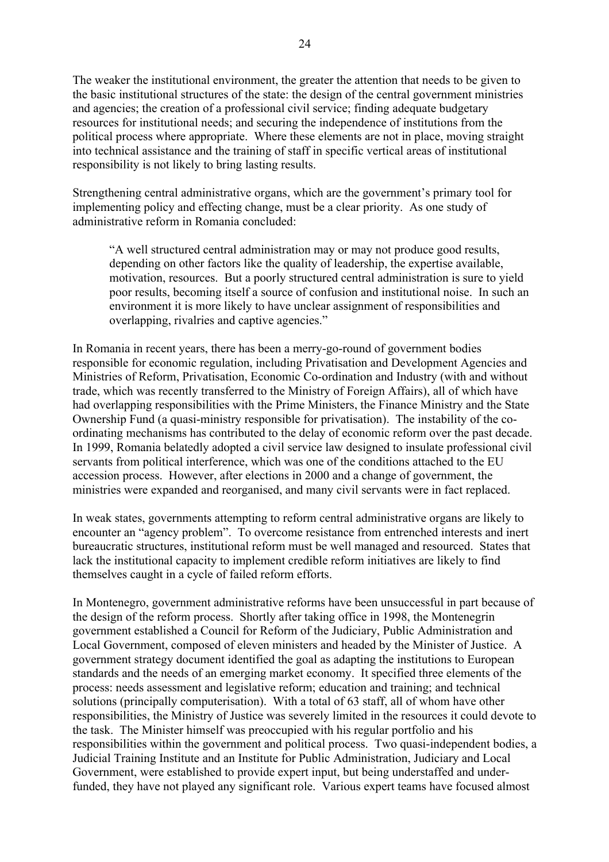The weaker the institutional environment, the greater the attention that needs to be given to the basic institutional structures of the state: the design of the central government ministries and agencies; the creation of a professional civil service; finding adequate budgetary resources for institutional needs; and securing the independence of institutions from the political process where appropriate. Where these elements are not in place, moving straight into technical assistance and the training of staff in specific vertical areas of institutional responsibility is not likely to bring lasting results.

Strengthening central administrative organs, which are the government's primary tool for implementing policy and effecting change, must be a clear priority. As one study of administrative reform in Romania concluded:

ìA well structured central administration may or may not produce good results, depending on other factors like the quality of leadership, the expertise available, motivation, resources. But a poorly structured central administration is sure to yield poor results, becoming itself a source of confusion and institutional noise. In such an environment it is more likely to have unclear assignment of responsibilities and overlapping, rivalries and captive agencies."

In Romania in recent years, there has been a merry-go-round of government bodies responsible for economic regulation, including Privatisation and Development Agencies and Ministries of Reform, Privatisation, Economic Co-ordination and Industry (with and without trade, which was recently transferred to the Ministry of Foreign Affairs), all of which have had overlapping responsibilities with the Prime Ministers, the Finance Ministry and the State Ownership Fund (a quasi-ministry responsible for privatisation). The instability of the coordinating mechanisms has contributed to the delay of economic reform over the past decade. In 1999, Romania belatedly adopted a civil service law designed to insulate professional civil servants from political interference, which was one of the conditions attached to the EU accession process. However, after elections in 2000 and a change of government, the ministries were expanded and reorganised, and many civil servants were in fact replaced.

In weak states, governments attempting to reform central administrative organs are likely to encounter an "agency problem". To overcome resistance from entrenched interests and inert bureaucratic structures, institutional reform must be well managed and resourced. States that lack the institutional capacity to implement credible reform initiatives are likely to find themselves caught in a cycle of failed reform efforts.

In Montenegro, government administrative reforms have been unsuccessful in part because of the design of the reform process. Shortly after taking office in 1998, the Montenegrin government established a Council for Reform of the Judiciary, Public Administration and Local Government, composed of eleven ministers and headed by the Minister of Justice. A government strategy document identified the goal as adapting the institutions to European standards and the needs of an emerging market economy. It specified three elements of the process: needs assessment and legislative reform; education and training; and technical solutions (principally computerisation). With a total of 63 staff, all of whom have other responsibilities, the Ministry of Justice was severely limited in the resources it could devote to the task. The Minister himself was preoccupied with his regular portfolio and his responsibilities within the government and political process. Two quasi-independent bodies, a Judicial Training Institute and an Institute for Public Administration, Judiciary and Local Government, were established to provide expert input, but being understaffed and underfunded, they have not played any significant role. Various expert teams have focused almost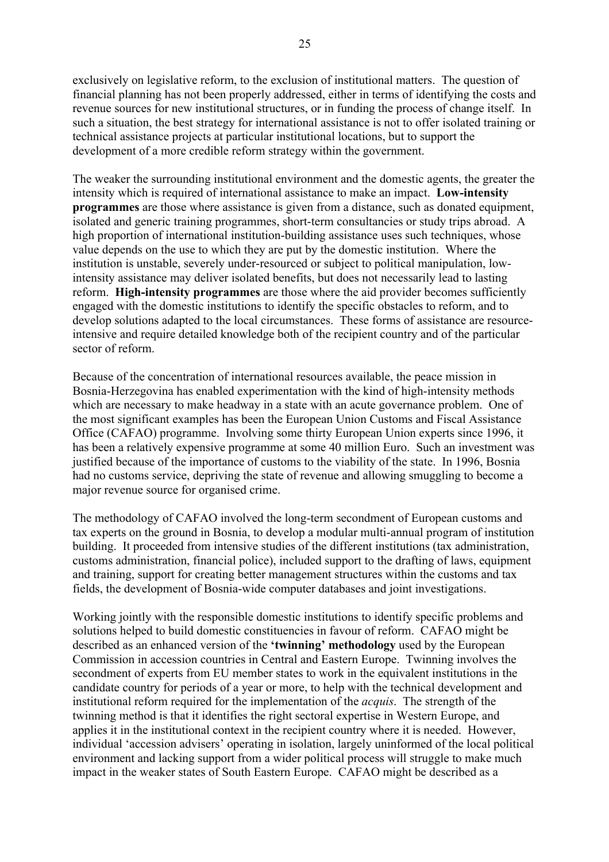exclusively on legislative reform, to the exclusion of institutional matters. The question of financial planning has not been properly addressed, either in terms of identifying the costs and revenue sources for new institutional structures, or in funding the process of change itself. In such a situation, the best strategy for international assistance is not to offer isolated training or technical assistance projects at particular institutional locations, but to support the development of a more credible reform strategy within the government.

The weaker the surrounding institutional environment and the domestic agents, the greater the intensity which is required of international assistance to make an impact. **Low-intensity programmes** are those where assistance is given from a distance, such as donated equipment, isolated and generic training programmes, short-term consultancies or study trips abroad. A high proportion of international institution-building assistance uses such techniques, whose value depends on the use to which they are put by the domestic institution. Where the institution is unstable, severely under-resourced or subject to political manipulation, lowintensity assistance may deliver isolated benefits, but does not necessarily lead to lasting reform. **High-intensity programmes** are those where the aid provider becomes sufficiently engaged with the domestic institutions to identify the specific obstacles to reform, and to develop solutions adapted to the local circumstances. These forms of assistance are resourceintensive and require detailed knowledge both of the recipient country and of the particular sector of reform.

Because of the concentration of international resources available, the peace mission in Bosnia-Herzegovina has enabled experimentation with the kind of high-intensity methods which are necessary to make headway in a state with an acute governance problem. One of the most significant examples has been the European Union Customs and Fiscal Assistance Office (CAFAO) programme. Involving some thirty European Union experts since 1996, it has been a relatively expensive programme at some 40 million Euro. Such an investment was justified because of the importance of customs to the viability of the state. In 1996, Bosnia had no customs service, depriving the state of revenue and allowing smuggling to become a major revenue source for organised crime.

The methodology of CAFAO involved the long-term secondment of European customs and tax experts on the ground in Bosnia, to develop a modular multi-annual program of institution building. It proceeded from intensive studies of the different institutions (tax administration, customs administration, financial police), included support to the drafting of laws, equipment and training, support for creating better management structures within the customs and tax fields, the development of Bosnia-wide computer databases and joint investigations.

Working jointly with the responsible domestic institutions to identify specific problems and solutions helped to build domestic constituencies in favour of reform. CAFAO might be described as an enhanced version of the **'twinning' methodology** used by the European Commission in accession countries in Central and Eastern Europe. Twinning involves the secondment of experts from EU member states to work in the equivalent institutions in the candidate country for periods of a year or more, to help with the technical development and institutional reform required for the implementation of the *acquis*. The strength of the twinning method is that it identifies the right sectoral expertise in Western Europe, and applies it in the institutional context in the recipient country where it is needed. However, individual 'accession advisers' operating in isolation, largely uninformed of the local political environment and lacking support from a wider political process will struggle to make much impact in the weaker states of South Eastern Europe. CAFAO might be described as a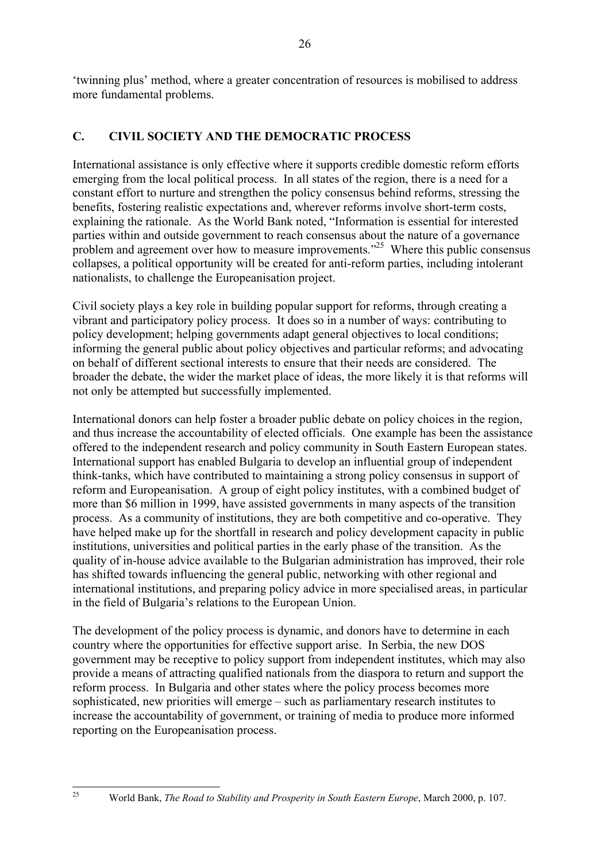twinning plus' method, where a greater concentration of resources is mobilised to address more fundamental problems.

### **C. CIVIL SOCIETY AND THE DEMOCRATIC PROCESS**

International assistance is only effective where it supports credible domestic reform efforts emerging from the local political process. In all states of the region, there is a need for a constant effort to nurture and strengthen the policy consensus behind reforms, stressing the benefits, fostering realistic expectations and, wherever reforms involve short-term costs, explaining the rationale. As the World Bank noted, "Information is essential for interested parties within and outside government to reach consensus about the nature of a governance problem and agreement over how to measure improvements.<sup> $25$ </sup> Where this public consensus collapses, a political opportunity will be created for anti-reform parties, including intolerant nationalists, to challenge the Europeanisation project.

Civil society plays a key role in building popular support for reforms, through creating a vibrant and participatory policy process. It does so in a number of ways: contributing to policy development; helping governments adapt general objectives to local conditions; informing the general public about policy objectives and particular reforms; and advocating on behalf of different sectional interests to ensure that their needs are considered. The broader the debate, the wider the market place of ideas, the more likely it is that reforms will not only be attempted but successfully implemented.

International donors can help foster a broader public debate on policy choices in the region, and thus increase the accountability of elected officials. One example has been the assistance offered to the independent research and policy community in South Eastern European states. International support has enabled Bulgaria to develop an influential group of independent think-tanks, which have contributed to maintaining a strong policy consensus in support of reform and Europeanisation. A group of eight policy institutes, with a combined budget of more than \$6 million in 1999, have assisted governments in many aspects of the transition process. As a community of institutions, they are both competitive and co-operative. They have helped make up for the shortfall in research and policy development capacity in public institutions, universities and political parties in the early phase of the transition. As the quality of in-house advice available to the Bulgarian administration has improved, their role has shifted towards influencing the general public, networking with other regional and international institutions, and preparing policy advice in more specialised areas, in particular in the field of Bulgaria's relations to the European Union.

The development of the policy process is dynamic, and donors have to determine in each country where the opportunities for effective support arise. In Serbia, the new DOS government may be receptive to policy support from independent institutes, which may also provide a means of attracting qualified nationals from the diaspora to return and support the reform process. In Bulgaria and other states where the policy process becomes more sophisticated, new priorities will emerge  $-$  such as parliamentary research institutes to increase the accountability of government, or training of media to produce more informed reporting on the Europeanisation process.

<sup>&</sup>lt;sup>25</sup> World Bank, *The Road to Stability and Prosperity in South Eastern Europe*, March 2000, p. 107.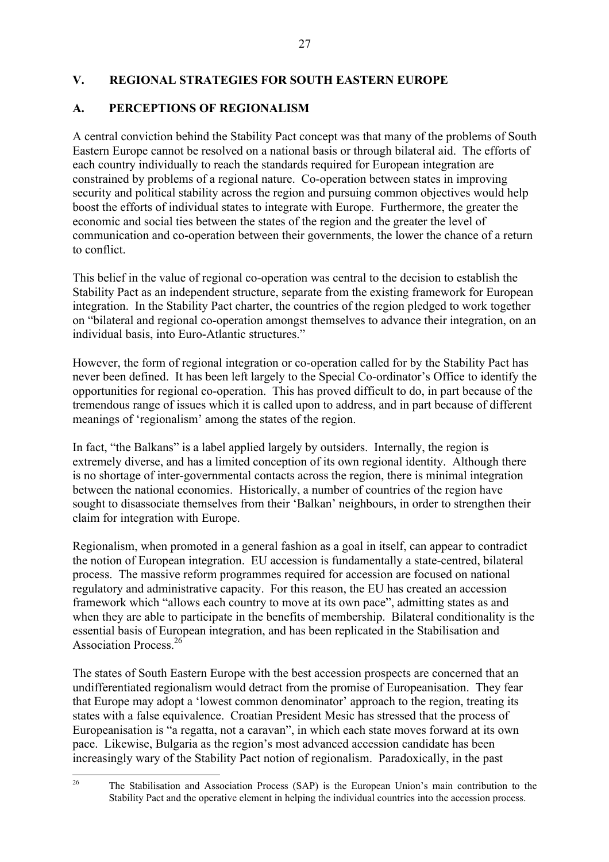### **V. REGIONAL STRATEGIES FOR SOUTH EASTERN EUROPE**

# **A. PERCEPTIONS OF REGIONALISM**

A central conviction behind the Stability Pact concept was that many of the problems of South Eastern Europe cannot be resolved on a national basis or through bilateral aid. The efforts of each country individually to reach the standards required for European integration are constrained by problems of a regional nature. Co-operation between states in improving security and political stability across the region and pursuing common objectives would help boost the efforts of individual states to integrate with Europe. Furthermore, the greater the economic and social ties between the states of the region and the greater the level of communication and co-operation between their governments, the lower the chance of a return to conflict.

This belief in the value of regional co-operation was central to the decision to establish the Stability Pact as an independent structure, separate from the existing framework for European integration. In the Stability Pact charter, the countries of the region pledged to work together on "bilateral and regional co-operation amongst themselves to advance their integration, on an individual basis, into Euro-Atlantic structures."

However, the form of regional integration or co-operation called for by the Stability Pact has never been defined. It has been left largely to the Special Co-ordinator's Office to identify the opportunities for regional co-operation. This has proved difficult to do, in part because of the tremendous range of issues which it is called upon to address, and in part because of different meanings of 'regionalism' among the states of the region.

In fact, "the Balkans" is a label applied largely by outsiders. Internally, the region is extremely diverse, and has a limited conception of its own regional identity. Although there is no shortage of inter-governmental contacts across the region, there is minimal integration between the national economies. Historically, a number of countries of the region have sought to disassociate themselves from their 'Balkan' neighbours, in order to strengthen their claim for integration with Europe.

Regionalism, when promoted in a general fashion as a goal in itself, can appear to contradict the notion of European integration. EU accession is fundamentally a state-centred, bilateral process. The massive reform programmes required for accession are focused on national regulatory and administrative capacity. For this reason, the EU has created an accession framework which "allows each country to move at its own pace", admitting states as and when they are able to participate in the benefits of membership. Bilateral conditionality is the essential basis of European integration, and has been replicated in the Stabilisation and Association Process<sup>26</sup>

The states of South Eastern Europe with the best accession prospects are concerned that an undifferentiated regionalism would detract from the promise of Europeanisation. They fear that Europe may adopt a 'lowest common denominator' approach to the region, treating its states with a false equivalence. Croatian President Mesic has stressed that the process of Europeanisation is "a regatta, not a caravan", in which each state moves forward at its own pace. Likewise, Bulgaria as the region's most advanced accession candidate has been increasingly wary of the Stability Pact notion of regionalism. Paradoxically, in the past

<sup>&</sup>lt;sup>26</sup> The Stabilisation and Association Process (SAP) is the European Union's main contribution to the Stability Pact and the operative element in helping the individual countries into the accession process.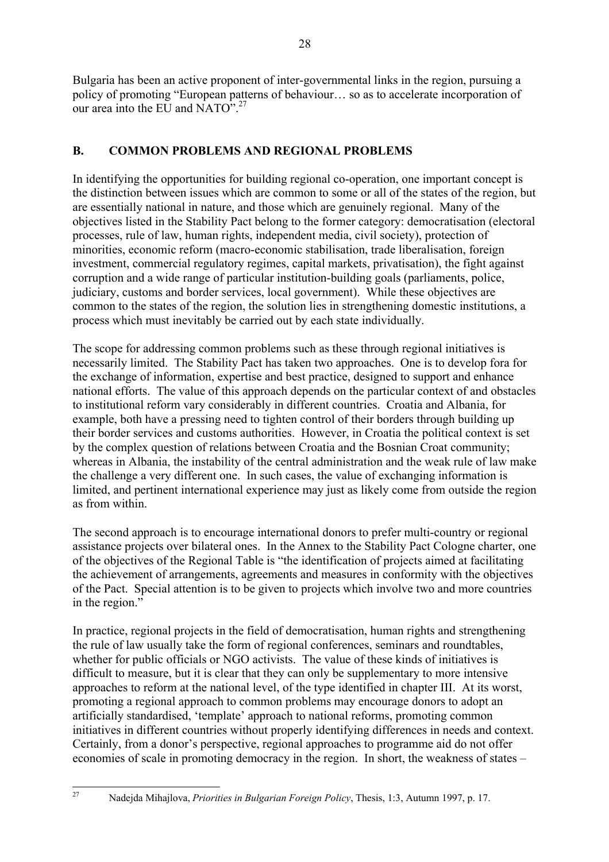Bulgaria has been an active proponent of inter-governmental links in the region, pursuing a policy of promoting "European patterns of behaviour... so as to accelerate incorporation of our area into the EU and  $NATO<sup>27</sup>$ 

### **B. COMMON PROBLEMS AND REGIONAL PROBLEMS**

In identifying the opportunities for building regional co-operation, one important concept is the distinction between issues which are common to some or all of the states of the region, but are essentially national in nature, and those which are genuinely regional. Many of the objectives listed in the Stability Pact belong to the former category: democratisation (electoral processes, rule of law, human rights, independent media, civil society), protection of minorities, economic reform (macro-economic stabilisation, trade liberalisation, foreign investment, commercial regulatory regimes, capital markets, privatisation), the fight against corruption and a wide range of particular institution-building goals (parliaments, police, judiciary, customs and border services, local government). While these objectives are common to the states of the region, the solution lies in strengthening domestic institutions, a process which must inevitably be carried out by each state individually.

The scope for addressing common problems such as these through regional initiatives is necessarily limited. The Stability Pact has taken two approaches. One is to develop fora for the exchange of information, expertise and best practice, designed to support and enhance national efforts. The value of this approach depends on the particular context of and obstacles to institutional reform vary considerably in different countries. Croatia and Albania, for example, both have a pressing need to tighten control of their borders through building up their border services and customs authorities. However, in Croatia the political context is set by the complex question of relations between Croatia and the Bosnian Croat community; whereas in Albania, the instability of the central administration and the weak rule of law make the challenge a very different one. In such cases, the value of exchanging information is limited, and pertinent international experience may just as likely come from outside the region as from within.

The second approach is to encourage international donors to prefer multi-country or regional assistance projects over bilateral ones. In the Annex to the Stability Pact Cologne charter, one of the objectives of the Regional Table is "the identification of projects aimed at facilitating the achievement of arrangements, agreements and measures in conformity with the objectives of the Pact. Special attention is to be given to projects which involve two and more countries in the region."

In practice, regional projects in the field of democratisation, human rights and strengthening the rule of law usually take the form of regional conferences, seminars and roundtables, whether for public officials or NGO activists. The value of these kinds of initiatives is difficult to measure, but it is clear that they can only be supplementary to more intensive approaches to reform at the national level, of the type identified in chapter III. At its worst, promoting a regional approach to common problems may encourage donors to adopt an artificially standardised, 'template' approach to national reforms, promoting common initiatives in different countries without properly identifying differences in needs and context. Certainly, from a donor's perspective, regional approaches to programme aid do not offer economies of scale in promoting democracy in the region. In short, the weakness of states  $-$ 

<sup>27</sup> Nadejda Mihajlova, *Priorities in Bulgarian Foreign Policy*, Thesis, 1:3, Autumn 1997, p. 17.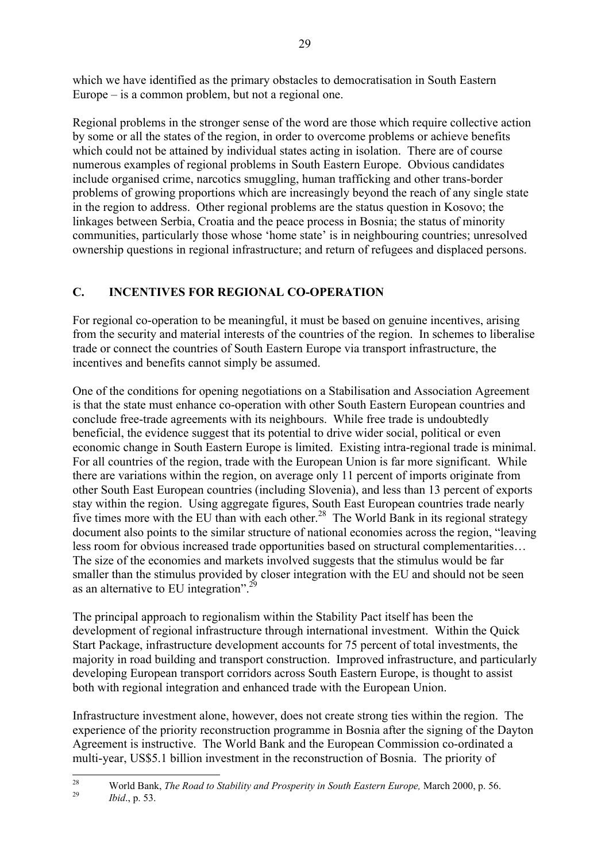which we have identified as the primary obstacles to democratisation in South Eastern Europe  $-$  is a common problem, but not a regional one.

Regional problems in the stronger sense of the word are those which require collective action by some or all the states of the region, in order to overcome problems or achieve benefits which could not be attained by individual states acting in isolation. There are of course numerous examples of regional problems in South Eastern Europe. Obvious candidates include organised crime, narcotics smuggling, human trafficking and other trans-border problems of growing proportions which are increasingly beyond the reach of any single state in the region to address. Other regional problems are the status question in Kosovo; the linkages between Serbia, Croatia and the peace process in Bosnia; the status of minority communities, particularly those whose 'home state' is in neighbouring countries; unresolved ownership questions in regional infrastructure; and return of refugees and displaced persons.

### **C. INCENTIVES FOR REGIONAL CO-OPERATION**

For regional co-operation to be meaningful, it must be based on genuine incentives, arising from the security and material interests of the countries of the region. In schemes to liberalise trade or connect the countries of South Eastern Europe via transport infrastructure, the incentives and benefits cannot simply be assumed.

One of the conditions for opening negotiations on a Stabilisation and Association Agreement is that the state must enhance co-operation with other South Eastern European countries and conclude free-trade agreements with its neighbours. While free trade is undoubtedly beneficial, the evidence suggest that its potential to drive wider social, political or even economic change in South Eastern Europe is limited. Existing intra-regional trade is minimal. For all countries of the region, trade with the European Union is far more significant. While there are variations within the region, on average only 11 percent of imports originate from other South East European countries (including Slovenia), and less than 13 percent of exports stay within the region. Using aggregate figures, South East European countries trade nearly five times more with the EU than with each other.<sup>28</sup> The World Bank in its regional strategy document also points to the similar structure of national economies across the region, "leaving less room for obvious increased trade opportunities based on structural complementarities... The size of the economies and markets involved suggests that the stimulus would be far smaller than the stimulus provided by closer integration with the EU and should not be seen as an alternative to EU integration<sup>".29</sup>

The principal approach to regionalism within the Stability Pact itself has been the development of regional infrastructure through international investment. Within the Quick Start Package, infrastructure development accounts for 75 percent of total investments, the majority in road building and transport construction. Improved infrastructure, and particularly developing European transport corridors across South Eastern Europe, is thought to assist both with regional integration and enhanced trade with the European Union.

Infrastructure investment alone, however, does not create strong ties within the region. The experience of the priority reconstruction programme in Bosnia after the signing of the Dayton Agreement is instructive. The World Bank and the European Commission co-ordinated a multi-year, US\$5.1 billion investment in the reconstruction of Bosnia. The priority of

<sup>28</sup> World Bank, *The Road to Stability and Prosperity in South Eastern Europe,* March 2000, p. 56. <sup>29</sup> *Ibid*., p. 53.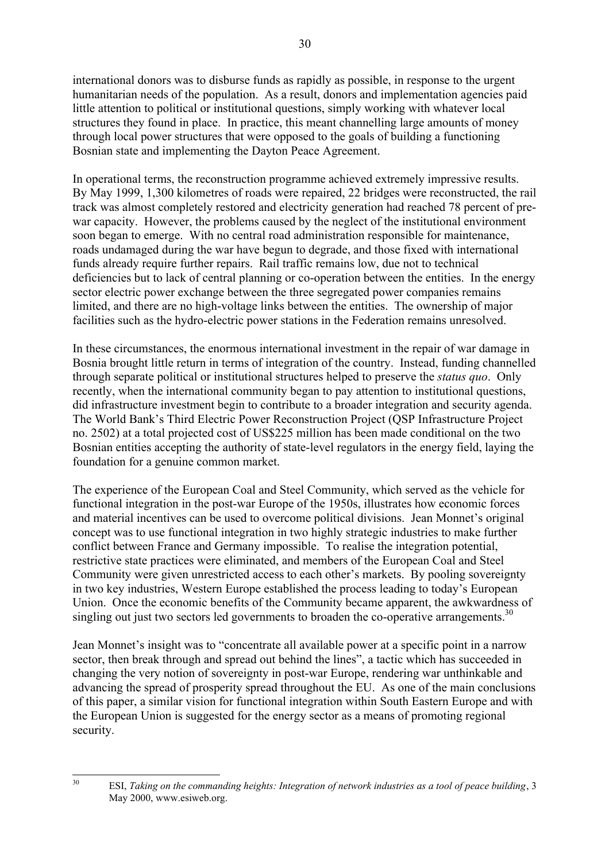international donors was to disburse funds as rapidly as possible, in response to the urgent humanitarian needs of the population. As a result, donors and implementation agencies paid little attention to political or institutional questions, simply working with whatever local structures they found in place. In practice, this meant channelling large amounts of money through local power structures that were opposed to the goals of building a functioning Bosnian state and implementing the Dayton Peace Agreement.

In operational terms, the reconstruction programme achieved extremely impressive results. By May 1999, 1,300 kilometres of roads were repaired, 22 bridges were reconstructed, the rail track was almost completely restored and electricity generation had reached 78 percent of prewar capacity. However, the problems caused by the neglect of the institutional environment soon began to emerge. With no central road administration responsible for maintenance, roads undamaged during the war have begun to degrade, and those fixed with international funds already require further repairs. Rail traffic remains low, due not to technical deficiencies but to lack of central planning or co-operation between the entities. In the energy sector electric power exchange between the three segregated power companies remains limited, and there are no high-voltage links between the entities. The ownership of major facilities such as the hydro-electric power stations in the Federation remains unresolved.

In these circumstances, the enormous international investment in the repair of war damage in Bosnia brought little return in terms of integration of the country. Instead, funding channelled through separate political or institutional structures helped to preserve the *status quo*. Only recently, when the international community began to pay attention to institutional questions, did infrastructure investment begin to contribute to a broader integration and security agenda. The World Bank's Third Electric Power Reconstruction Project (OSP Infrastructure Project no. 2502) at a total projected cost of US\$225 million has been made conditional on the two Bosnian entities accepting the authority of state-level regulators in the energy field, laying the foundation for a genuine common market.

The experience of the European Coal and Steel Community, which served as the vehicle for functional integration in the post-war Europe of the 1950s, illustrates how economic forces and material incentives can be used to overcome political divisions. Jean Monnet's original concept was to use functional integration in two highly strategic industries to make further conflict between France and Germany impossible. To realise the integration potential, restrictive state practices were eliminated, and members of the European Coal and Steel Community were given unrestricted access to each other's markets. By pooling sovereignty in two key industries, Western Europe established the process leading to today's European Union. Once the economic benefits of the Community became apparent, the awkwardness of singling out just two sectors led governments to broaden the co-operative arrangements.<sup>30</sup>

Jean Monnet's insight was to "concentrate all available power at a specific point in a narrow sector, then break through and spread out behind the lines", a tactic which has succeeded in changing the very notion of sovereignty in post-war Europe, rendering war unthinkable and advancing the spread of prosperity spread throughout the EU. As one of the main conclusions of this paper, a similar vision for functional integration within South Eastern Europe and with the European Union is suggested for the energy sector as a means of promoting regional security.

<sup>30</sup> ESI, *Taking on the commanding heights: Integration of network industries as a tool of peace building*, 3 May 2000, www.esiweb.org.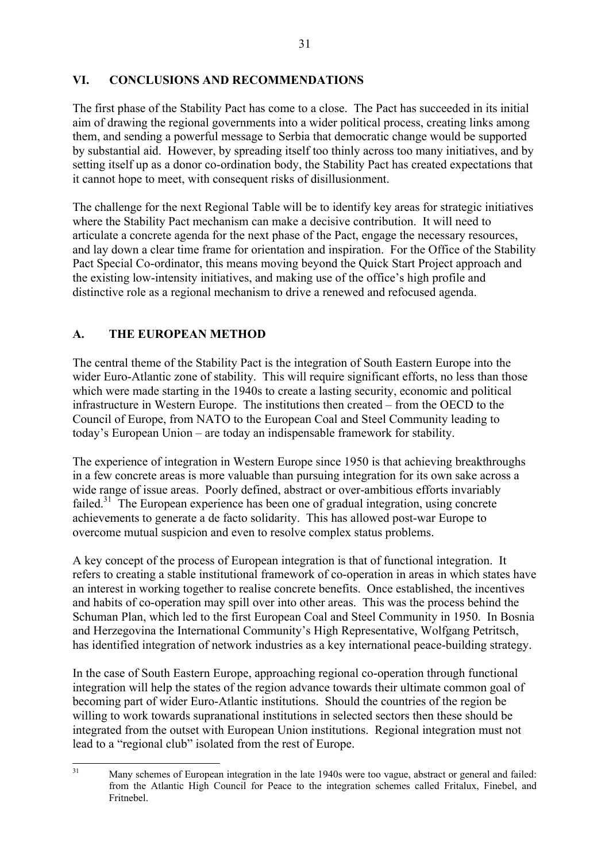### **VI. CONCLUSIONS AND RECOMMENDATIONS**

The first phase of the Stability Pact has come to a close. The Pact has succeeded in its initial aim of drawing the regional governments into a wider political process, creating links among them, and sending a powerful message to Serbia that democratic change would be supported by substantial aid. However, by spreading itself too thinly across too many initiatives, and by setting itself up as a donor co-ordination body, the Stability Pact has created expectations that it cannot hope to meet, with consequent risks of disillusionment.

The challenge for the next Regional Table will be to identify key areas for strategic initiatives where the Stability Pact mechanism can make a decisive contribution. It will need to articulate a concrete agenda for the next phase of the Pact, engage the necessary resources, and lay down a clear time frame for orientation and inspiration. For the Office of the Stability Pact Special Co-ordinator, this means moving beyond the Quick Start Project approach and the existing low-intensity initiatives, and making use of the office's high profile and distinctive role as a regional mechanism to drive a renewed and refocused agenda.

### **A. THE EUROPEAN METHOD**

The central theme of the Stability Pact is the integration of South Eastern Europe into the wider Euro-Atlantic zone of stability. This will require significant efforts, no less than those which were made starting in the 1940s to create a lasting security, economic and political infrastructure in Western Europe. The institutions then created  $-$  from the OECD to the Council of Europe, from NATO to the European Coal and Steel Community leading to today's European Union – are today an indispensable framework for stability.

The experience of integration in Western Europe since 1950 is that achieving breakthroughs in a few concrete areas is more valuable than pursuing integration for its own sake across a wide range of issue areas. Poorly defined, abstract or over-ambitious efforts invariably failed. $31$  The European experience has been one of gradual integration, using concrete achievements to generate a de facto solidarity. This has allowed post-war Europe to overcome mutual suspicion and even to resolve complex status problems.

A key concept of the process of European integration is that of functional integration. It refers to creating a stable institutional framework of co-operation in areas in which states have an interest in working together to realise concrete benefits. Once established, the incentives and habits of co-operation may spill over into other areas. This was the process behind the Schuman Plan, which led to the first European Coal and Steel Community in 1950. In Bosnia and Herzegovina the International Community's High Representative, Wolfgang Petritsch, has identified integration of network industries as a key international peace-building strategy.

In the case of South Eastern Europe, approaching regional co-operation through functional integration will help the states of the region advance towards their ultimate common goal of becoming part of wider Euro-Atlantic institutions. Should the countries of the region be willing to work towards supranational institutions in selected sectors then these should be integrated from the outset with European Union institutions. Regional integration must not lead to a "regional club" isolated from the rest of Europe.

<sup>&</sup>lt;sup>31</sup> Many schemes of European integration in the late 1940s were too vague, abstract or general and failed: from the Atlantic High Council for Peace to the integration schemes called Fritalux, Finebel, and Fritnebel.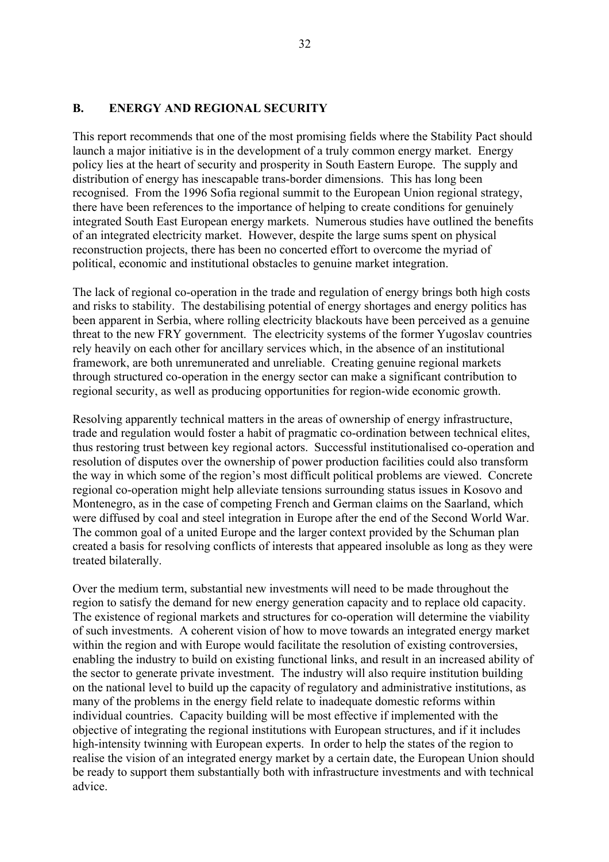### **B. ENERGY AND REGIONAL SECURITY**

This report recommends that one of the most promising fields where the Stability Pact should launch a major initiative is in the development of a truly common energy market. Energy policy lies at the heart of security and prosperity in South Eastern Europe. The supply and distribution of energy has inescapable trans-border dimensions. This has long been recognised. From the 1996 Sofia regional summit to the European Union regional strategy, there have been references to the importance of helping to create conditions for genuinely integrated South East European energy markets. Numerous studies have outlined the benefits of an integrated electricity market. However, despite the large sums spent on physical reconstruction projects, there has been no concerted effort to overcome the myriad of political, economic and institutional obstacles to genuine market integration.

The lack of regional co-operation in the trade and regulation of energy brings both high costs and risks to stability. The destabilising potential of energy shortages and energy politics has been apparent in Serbia, where rolling electricity blackouts have been perceived as a genuine threat to the new FRY government. The electricity systems of the former Yugoslav countries rely heavily on each other for ancillary services which, in the absence of an institutional framework, are both unremunerated and unreliable. Creating genuine regional markets through structured co-operation in the energy sector can make a significant contribution to regional security, as well as producing opportunities for region-wide economic growth.

Resolving apparently technical matters in the areas of ownership of energy infrastructure, trade and regulation would foster a habit of pragmatic co-ordination between technical elites, thus restoring trust between key regional actors. Successful institutionalised co-operation and resolution of disputes over the ownership of power production facilities could also transform the way in which some of the region's most difficult political problems are viewed. Concrete regional co-operation might help alleviate tensions surrounding status issues in Kosovo and Montenegro, as in the case of competing French and German claims on the Saarland, which were diffused by coal and steel integration in Europe after the end of the Second World War. The common goal of a united Europe and the larger context provided by the Schuman plan created a basis for resolving conflicts of interests that appeared insoluble as long as they were treated bilaterally.

Over the medium term, substantial new investments will need to be made throughout the region to satisfy the demand for new energy generation capacity and to replace old capacity. The existence of regional markets and structures for co-operation will determine the viability of such investments. A coherent vision of how to move towards an integrated energy market within the region and with Europe would facilitate the resolution of existing controversies, enabling the industry to build on existing functional links, and result in an increased ability of the sector to generate private investment. The industry will also require institution building on the national level to build up the capacity of regulatory and administrative institutions, as many of the problems in the energy field relate to inadequate domestic reforms within individual countries. Capacity building will be most effective if implemented with the objective of integrating the regional institutions with European structures, and if it includes high-intensity twinning with European experts. In order to help the states of the region to realise the vision of an integrated energy market by a certain date, the European Union should be ready to support them substantially both with infrastructure investments and with technical advice.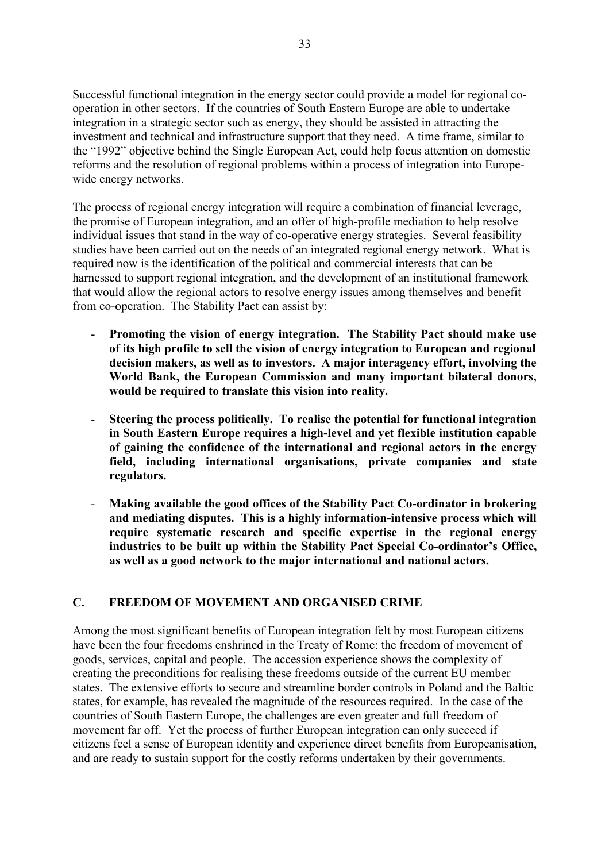Successful functional integration in the energy sector could provide a model for regional cooperation in other sectors. If the countries of South Eastern Europe are able to undertake integration in a strategic sector such as energy, they should be assisted in attracting the investment and technical and infrastructure support that they need. A time frame, similar to the "1992" objective behind the Single European Act, could help focus attention on domestic reforms and the resolution of regional problems within a process of integration into Europewide energy networks.

The process of regional energy integration will require a combination of financial leverage, the promise of European integration, and an offer of high-profile mediation to help resolve individual issues that stand in the way of co-operative energy strategies. Several feasibility studies have been carried out on the needs of an integrated regional energy network. What is required now is the identification of the political and commercial interests that can be harnessed to support regional integration, and the development of an institutional framework that would allow the regional actors to resolve energy issues among themselves and benefit from co-operation. The Stability Pact can assist by:

- **Promoting the vision of energy integration. The Stability Pact should make use of its high profile to sell the vision of energy integration to European and regional decision makers, as well as to investors. A major interagency effort, involving the World Bank, the European Commission and many important bilateral donors, would be required to translate this vision into reality.**
- **Steering the process politically. To realise the potential for functional integration in South Eastern Europe requires a high-level and yet flexible institution capable of gaining the confidence of the international and regional actors in the energy field, including international organisations, private companies and state regulators.**
- **Making available the good offices of the Stability Pact Co-ordinator in brokering and mediating disputes. This is a highly information-intensive process which will require systematic research and specific expertise in the regional energy** industries to be built up within the Stability Pact Special Co-ordinator's Office, **as well as a good network to the major international and national actors.**

### **C. FREEDOM OF MOVEMENT AND ORGANISED CRIME**

Among the most significant benefits of European integration felt by most European citizens have been the four freedoms enshrined in the Treaty of Rome: the freedom of movement of goods, services, capital and people. The accession experience shows the complexity of creating the preconditions for realising these freedoms outside of the current EU member states. The extensive efforts to secure and streamline border controls in Poland and the Baltic states, for example, has revealed the magnitude of the resources required. In the case of the countries of South Eastern Europe, the challenges are even greater and full freedom of movement far off. Yet the process of further European integration can only succeed if citizens feel a sense of European identity and experience direct benefits from Europeanisation, and are ready to sustain support for the costly reforms undertaken by their governments.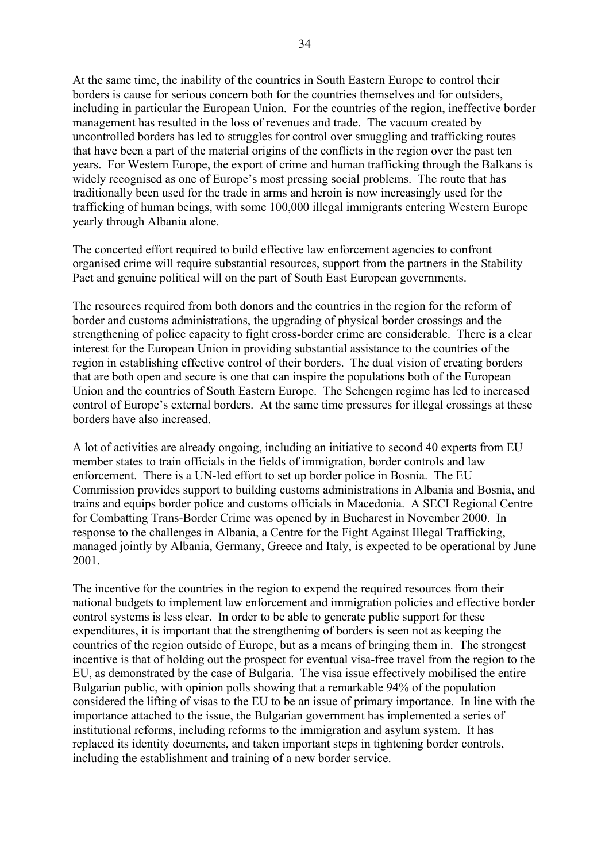At the same time, the inability of the countries in South Eastern Europe to control their borders is cause for serious concern both for the countries themselves and for outsiders, including in particular the European Union. For the countries of the region, ineffective border management has resulted in the loss of revenues and trade. The vacuum created by uncontrolled borders has led to struggles for control over smuggling and trafficking routes that have been a part of the material origins of the conflicts in the region over the past ten years. For Western Europe, the export of crime and human trafficking through the Balkans is widely recognised as one of Europe's most pressing social problems. The route that has traditionally been used for the trade in arms and heroin is now increasingly used for the trafficking of human beings, with some 100,000 illegal immigrants entering Western Europe yearly through Albania alone.

The concerted effort required to build effective law enforcement agencies to confront organised crime will require substantial resources, support from the partners in the Stability Pact and genuine political will on the part of South East European governments.

The resources required from both donors and the countries in the region for the reform of border and customs administrations, the upgrading of physical border crossings and the strengthening of police capacity to fight cross-border crime are considerable. There is a clear interest for the European Union in providing substantial assistance to the countries of the region in establishing effective control of their borders. The dual vision of creating borders that are both open and secure is one that can inspire the populations both of the European Union and the countries of South Eastern Europe. The Schengen regime has led to increased control of Europe's external borders. At the same time pressures for illegal crossings at these borders have also increased.

A lot of activities are already ongoing, including an initiative to second 40 experts from EU member states to train officials in the fields of immigration, border controls and law enforcement. There is a UN-led effort to set up border police in Bosnia. The EU Commission provides support to building customs administrations in Albania and Bosnia, and trains and equips border police and customs officials in Macedonia. A SECI Regional Centre for Combatting Trans-Border Crime was opened by in Bucharest in November 2000. In response to the challenges in Albania, a Centre for the Fight Against Illegal Trafficking, managed jointly by Albania, Germany, Greece and Italy, is expected to be operational by June 2001.

The incentive for the countries in the region to expend the required resources from their national budgets to implement law enforcement and immigration policies and effective border control systems is less clear. In order to be able to generate public support for these expenditures, it is important that the strengthening of borders is seen not as keeping the countries of the region outside of Europe, but as a means of bringing them in. The strongest incentive is that of holding out the prospect for eventual visa-free travel from the region to the EU, as demonstrated by the case of Bulgaria. The visa issue effectively mobilised the entire Bulgarian public, with opinion polls showing that a remarkable 94% of the population considered the lifting of visas to the EU to be an issue of primary importance. In line with the importance attached to the issue, the Bulgarian government has implemented a series of institutional reforms, including reforms to the immigration and asylum system. It has replaced its identity documents, and taken important steps in tightening border controls, including the establishment and training of a new border service.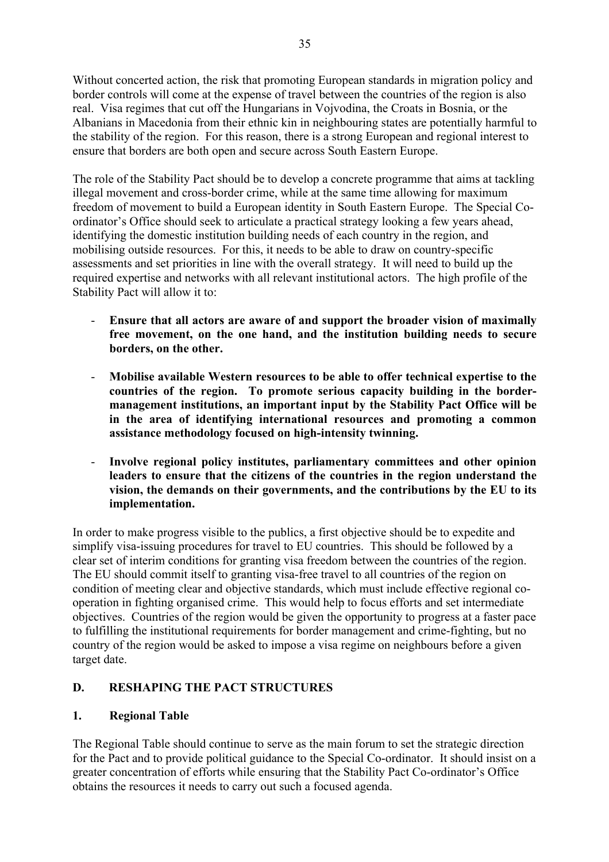Without concerted action, the risk that promoting European standards in migration policy and border controls will come at the expense of travel between the countries of the region is also real. Visa regimes that cut off the Hungarians in Vojvodina, the Croats in Bosnia, or the Albanians in Macedonia from their ethnic kin in neighbouring states are potentially harmful to the stability of the region. For this reason, there is a strong European and regional interest to ensure that borders are both open and secure across South Eastern Europe.

The role of the Stability Pact should be to develop a concrete programme that aims at tackling illegal movement and cross-border crime, while at the same time allowing for maximum freedom of movement to build a European identity in South Eastern Europe. The Special Coordinator's Office should seek to articulate a practical strategy looking a few years ahead, identifying the domestic institution building needs of each country in the region, and mobilising outside resources. For this, it needs to be able to draw on country-specific assessments and set priorities in line with the overall strategy. It will need to build up the required expertise and networks with all relevant institutional actors. The high profile of the Stability Pact will allow it to:

- **Ensure that all actors are aware of and support the broader vision of maximally free movement, on the one hand, and the institution building needs to secure borders, on the other.**
- **Mobilise available Western resources to be able to offer technical expertise to the countries of the region. To promote serious capacity building in the bordermanagement institutions, an important input by the Stability Pact Office will be in the area of identifying international resources and promoting a common assistance methodology focused on high-intensity twinning.**
- **Involve regional policy institutes, parliamentary committees and other opinion leaders to ensure that the citizens of the countries in the region understand the vision, the demands on their governments, and the contributions by the EU to its implementation.**

In order to make progress visible to the publics, a first objective should be to expedite and simplify visa-issuing procedures for travel to EU countries. This should be followed by a clear set of interim conditions for granting visa freedom between the countries of the region. The EU should commit itself to granting visa-free travel to all countries of the region on condition of meeting clear and objective standards, which must include effective regional cooperation in fighting organised crime. This would help to focus efforts and set intermediate objectives. Countries of the region would be given the opportunity to progress at a faster pace to fulfilling the institutional requirements for border management and crime-fighting, but no country of the region would be asked to impose a visa regime on neighbours before a given target date.

### **D. RESHAPING THE PACT STRUCTURES**

### **1. Regional Table**

The Regional Table should continue to serve as the main forum to set the strategic direction for the Pact and to provide political guidance to the Special Co-ordinator. It should insist on a greater concentration of efforts while ensuring that the Stability Pact Co-ordinator's Office obtains the resources it needs to carry out such a focused agenda.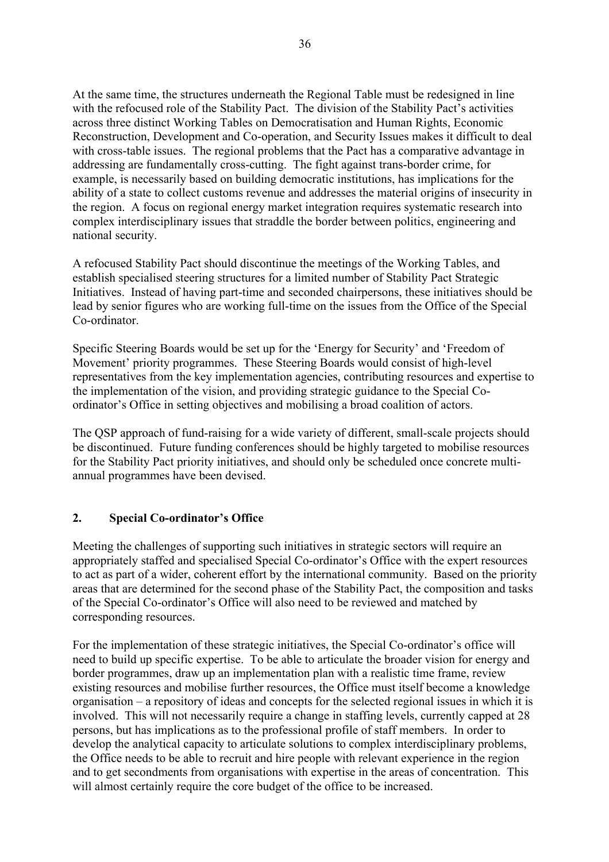At the same time, the structures underneath the Regional Table must be redesigned in line with the refocused role of the Stability Pact. The division of the Stability Pact's activities across three distinct Working Tables on Democratisation and Human Rights, Economic Reconstruction, Development and Co-operation, and Security Issues makes it difficult to deal with cross-table issues. The regional problems that the Pact has a comparative advantage in addressing are fundamentally cross-cutting. The fight against trans-border crime, for example, is necessarily based on building democratic institutions, has implications for the ability of a state to collect customs revenue and addresses the material origins of insecurity in the region. A focus on regional energy market integration requires systematic research into complex interdisciplinary issues that straddle the border between politics, engineering and national security.

A refocused Stability Pact should discontinue the meetings of the Working Tables, and establish specialised steering structures for a limited number of Stability Pact Strategic Initiatives. Instead of having part-time and seconded chairpersons, these initiatives should be lead by senior figures who are working full-time on the issues from the Office of the Special Co-ordinator.

Specific Steering Boards would be set up for the 'Energy for Security' and 'Freedom of Movement' priority programmes. These Steering Boards would consist of high-level representatives from the key implementation agencies, contributing resources and expertise to the implementation of the vision, and providing strategic guidance to the Special Coordinator's Office in setting objectives and mobilising a broad coalition of actors.

The QSP approach of fund-raising for a wide variety of different, small-scale projects should be discontinued. Future funding conferences should be highly targeted to mobilise resources for the Stability Pact priority initiatives, and should only be scheduled once concrete multiannual programmes have been devised.

#### **2.** Special Co-ordinator's Office

Meeting the challenges of supporting such initiatives in strategic sectors will require an appropriately staffed and specialised Special Co-ordinator's Office with the expert resources to act as part of a wider, coherent effort by the international community. Based on the priority areas that are determined for the second phase of the Stability Pact, the composition and tasks of the Special Co-ordinator's Office will also need to be reviewed and matched by corresponding resources.

For the implementation of these strategic initiatives, the Special Co-ordinator's office will need to build up specific expertise. To be able to articulate the broader vision for energy and border programmes, draw up an implementation plan with a realistic time frame, review existing resources and mobilise further resources, the Office must itself become a knowledge organisation  $-\alpha$  repository of ideas and concepts for the selected regional issues in which it is involved. This will not necessarily require a change in staffing levels, currently capped at 28 persons, but has implications as to the professional profile of staff members. In order to develop the analytical capacity to articulate solutions to complex interdisciplinary problems, the Office needs to be able to recruit and hire people with relevant experience in the region and to get secondments from organisations with expertise in the areas of concentration. This will almost certainly require the core budget of the office to be increased.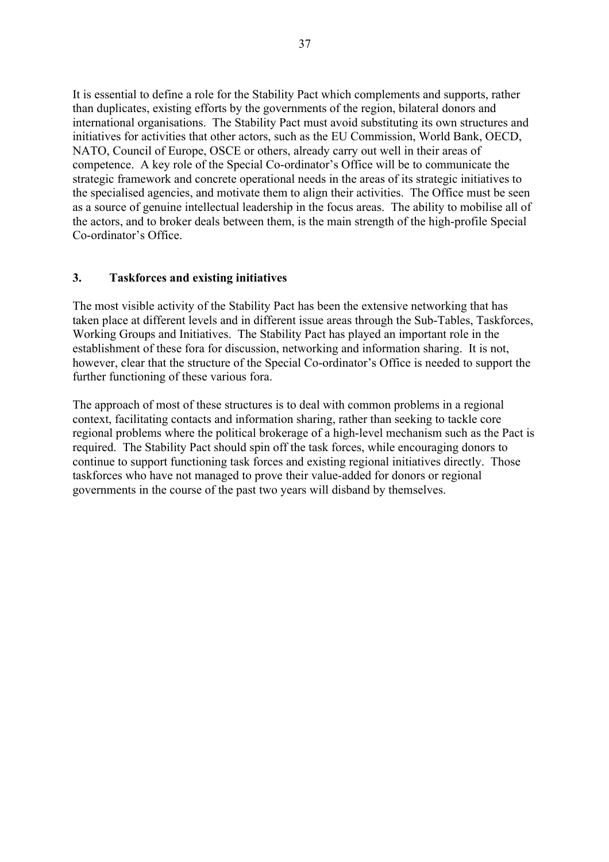It is essential to define a role for the Stability Pact which complements and supports, rather than duplicates, existing efforts by the governments of the region, bilateral donors and international organisations. The Stability Pact must avoid substituting its own structures and initiatives for activities that other actors, such as the EU Commission, World Bank, OECD, NATO, Council of Europe, OSCE or others, already carry out well in their areas of competence. A key role of the Special Co-ordinator's Office will be to communicate the strategic framework and concrete operational needs in the areas of its strategic initiatives to the specialised agencies, and motivate them to align their activities. The Office must be seen as a source of genuine intellectual leadership in the focus areas. The ability to mobilise all of the actors, and to broker deals between them, is the main strength of the high-profile Special Co-ordinator's Office.

### **3. Taskforces and existing initiatives**

The most visible activity of the Stability Pact has been the extensive networking that has taken place at different levels and in different issue areas through the Sub-Tables, Taskforces, Working Groups and Initiatives. The Stability Pact has played an important role in the establishment of these fora for discussion, networking and information sharing. It is not, however, clear that the structure of the Special Co-ordinator's Office is needed to support the further functioning of these various fora.

The approach of most of these structures is to deal with common problems in a regional context, facilitating contacts and information sharing, rather than seeking to tackle core regional problems where the political brokerage of a high-level mechanism such as the Pact is required. The Stability Pact should spin off the task forces, while encouraging donors to continue to support functioning task forces and existing regional initiatives directly. Those taskforces who have not managed to prove their value-added for donors or regional governments in the course of the past two years will disband by themselves.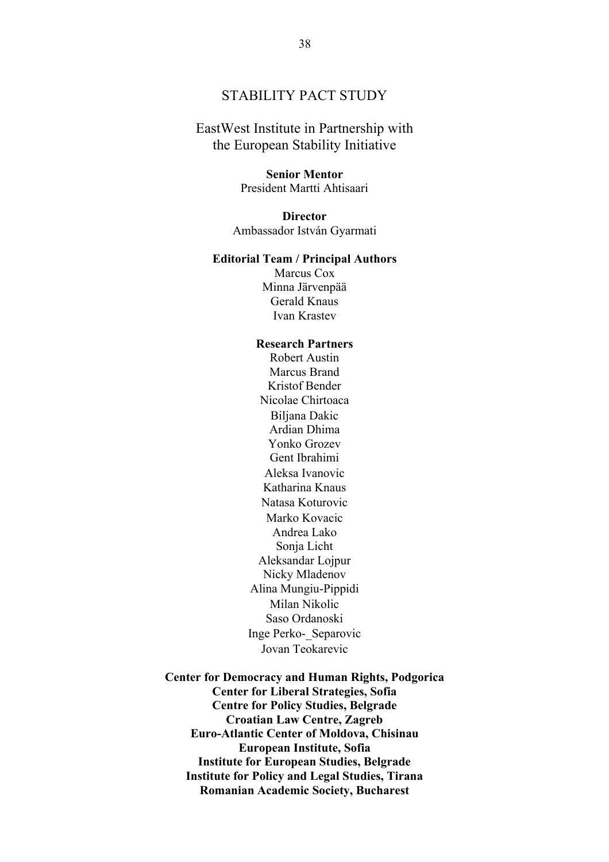### STABILITY PACT STUDY

### EastWest Institute in Partnership with the European Stability Initiative

#### **Senior Mentor**

President Martti Ahtisaari

#### **Director**

Ambassador István Gyarmati

#### **Editorial Team / Principal Authors**

Marcus Cox Minna Järvenpää Gerald Knaus Ivan Krastev

#### **Research Partners**

Robert Austin Marcus Brand Kristof Bender Nicolae Chirtoaca Biljana Dakic Ardian Dhima Yonko Grozev Gent Ibrahimi Aleksa Ivanovic Katharina Knaus Natasa Koturovic Marko Kovacic Andrea Lako Sonja Licht Aleksandar Lojpur Nicky Mladenov Alina Mungiu-Pippidi Milan Nikolic Saso Ordanoski Inge Perko-\_Separovic Jovan Teokarevic

**Center for Democracy and Human Rights, Podgorica Center for Liberal Strategies, Sofia Centre for Policy Studies, Belgrade Croatian Law Centre, Zagreb Euro-Atlantic Center of Moldova, Chisinau European Institute, Sofia Institute for European Studies, Belgrade Institute for Policy and Legal Studies, Tirana Romanian Academic Society, Bucharest**